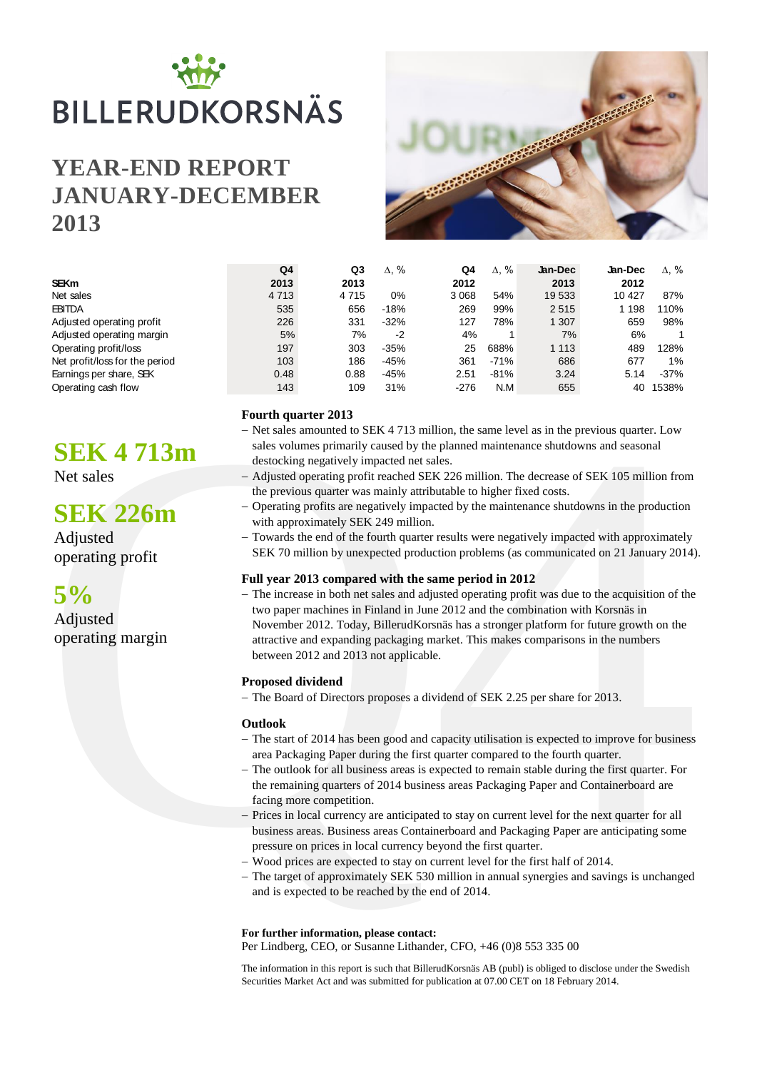# BILLERUDKORSNÄS

# **YEAR-END REPORT JANUARY-DECEMBER 2013**



|                                | Q4      | Q3      | $\Delta$ , % | Q4      | $\Delta$ , % | Jan-Dec | Jan-Dec | $\Delta$ . % |
|--------------------------------|---------|---------|--------------|---------|--------------|---------|---------|--------------|
| <b>SEKm</b>                    | 2013    | 2013    |              | 2012    |              | 2013    | 2012    |              |
| Net sales                      | 4 7 1 3 | 4 7 1 5 | 0%           | 3 0 6 8 | 54%          | 19 533  | 10 4 27 | 87%          |
| <b>EBITDA</b>                  | 535     | 656     | $-18%$       | 269     | 99%          | 2515    | 1 1 9 8 | 110%         |
| Adjusted operating profit      | 226     | 331     | $-32%$       | 127     | 78%          | 1 307   | 659     | 98%          |
| Adjusted operating margin      | 5%      | 7%      | $-2$         | 4%      |              | 7%      | 6%      |              |
| Operating profit/loss          | 197     | 303     | $-35%$       | 25      | 688%         | 1 1 1 3 | 489     | 128%         |
| Net profit/loss for the period | 103     | 186     | $-45%$       | 361     | $-71%$       | 686     | 677     | $1\%$        |
| Earnings per share, SEK        | 0.48    | 0.88    | $-45%$       | 2.51    | $-81%$       | 3.24    | 5.14    | $-37%$       |
| Operating cash flow            | 143     | 109     | 31%          | -276    | N.M          | 655     | 40      | 1538%        |

# **Fourth quarter 2013**

- Net sales amounted to SEK 4 713 million, the same level as in the previous quarter. Low sales volumes primarily caused by the planned maintenance shutdowns and seasonal destocking negatively impacted net sales.
- Adjusted operating profit reached SEK 226 million. The decrease of SEK 105 million from the previous quarter was mainly attributable to higher fixed costs.
- Operating profits are negatively impacted by the maintenance shutdowns in the production with approximately SEK 249 million.
- Towards the end of the fourth quarter results were negatively impacted with approximately SEK 70 million by unexpected production problems (as communicated on 21 January 2014).

# **Full year 2013 compared with the same period in 2012**

**EVALUATE:**<br> **EVALUATE AND THE CONSULTER THE CONSULTER SECULAR CONSULTS AND THE SECULAR CONSULTER SECULAR SECULAR SECULAR SECULAR SECULAR SECULAR SECULAR SECULAR SECULAR SECULAR SECULAR SECULAR CONSULTER CONSULTER CONSULT** - The increase in both net sales and adjusted operating profit was due to the acquisition of the two paper machines in Finland in June 2012 and the combination with Korsnäs in November 2012. Today, BillerudKorsnäs has a stronger platform for future growth on the attractive and expanding packaging market. This makes comparisons in the numbers between 2012 and 2013 not applicable.

# **Proposed dividend**

- The Board of Directors proposes a dividend of SEK 2.25 per share for 2013.

# **Outlook**

- The start of 2014 has been good and capacity utilisation is expected to improve for business area Packaging Paper during the first quarter compared to the fourth quarter.
- The outlook for all business areas is expected to remain stable during the first quarter. For the remaining quarters of 2014 business areas Packaging Paper and Containerboard are facing more competition.
- Prices in local currency are anticipated to stay on current level for the next quarter for all business areas. Business areas Containerboard and Packaging Paper are anticipating some pressure on prices in local currency beyond the first quarter.
- Wood prices are expected to stay on current level for the first half of 2014.
- The target of approximately SEK 530 million in annual synergies and savings is unchanged and is expected to be reached by the end of 2014.

# **For further information, please contact:**

Per Lindberg, CEO, or Susanne Lithander, CFO, +46 (0)8 553 335 00

The information in this report is such that BillerudKorsnäs AB (publ) is obliged to disclose under the Swedish Securities Market Act and was submitted for publication at 07.00 CET on 18 February 2014.

# **SEK 4 713m**

Net sales

# **SEK 226m**

Adjusted operating profit



Adjusted operating margin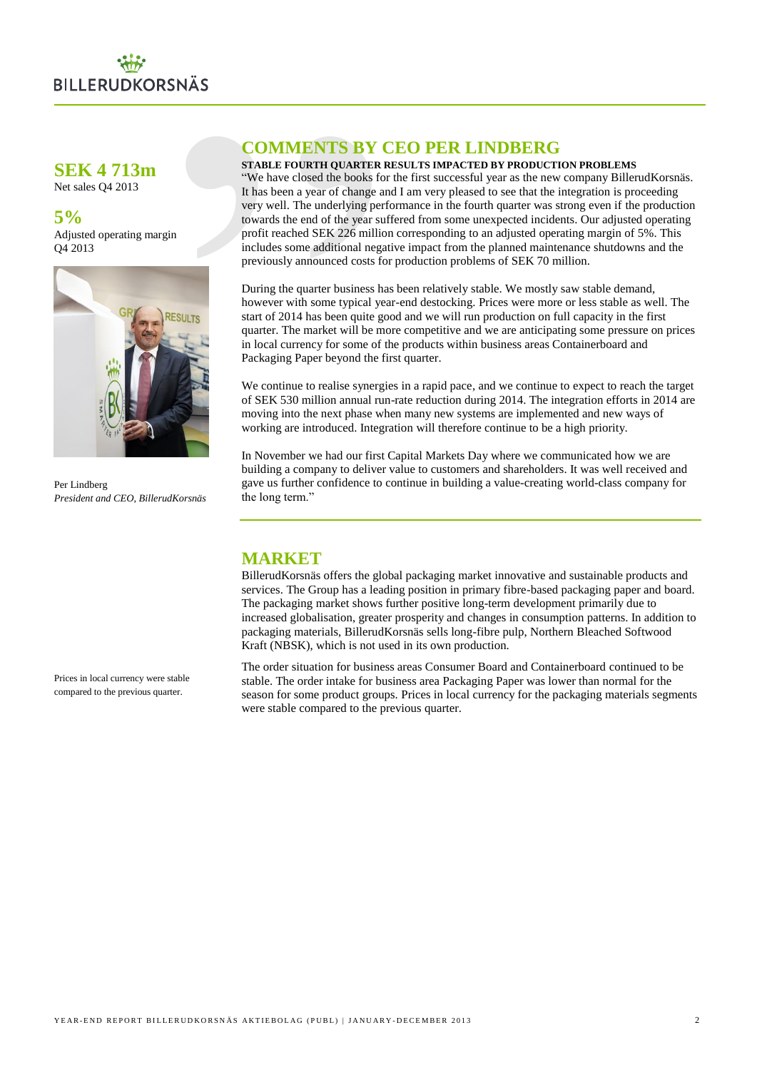

# **SEK 4 713m**

Net sales Q4 2013

# **5%**

Adjusted operating margin Q4 2013



Per Lindberg *President and CEO, BillerudKorsnäs*

# **COMMENTS BY CEO PER LINDBERG**

# **STABLE FOURTH QUARTER RESULTS IMPACTED BY PRODUCTION PROBLEMS**

SNÄS<br>
COMMENTS BY<br>
TRABLE FOURTH QUARTER IS THE EVERT OURTER TO USE THE SURFACT CONSISTOR THE IN thas been a year of change a<br>
very well. The underlying per<br>
towards the end of the year surface of the year surful<br>
includes "We have closed the books for the first successful year as the new company BillerudKorsnäs. It has been a year of change and I am very pleased to see that the integration is proceeding very well. The underlying performance in the fourth quarter was strong even if the production towards the end of the year suffered from some unexpected incidents. Our adjusted operating profit reached SEK 226 million corresponding to an adjusted operating margin of 5%. This includes some additional negative impact from the planned maintenance shutdowns and the previously announced costs for production problems of SEK 70 million.

During the quarter business has been relatively stable. We mostly saw stable demand, however with some typical year-end destocking. Prices were more or less stable as well. The start of 2014 has been quite good and we will run production on full capacity in the first quarter. The market will be more competitive and we are anticipating some pressure on prices in local currency for some of the products within business areas Containerboard and Packaging Paper beyond the first quarter.

We continue to realise synergies in a rapid pace, and we continue to expect to reach the target of SEK 530 million annual run-rate reduction during 2014. The integration efforts in 2014 are moving into the next phase when many new systems are implemented and new ways of working are introduced. Integration will therefore continue to be a high priority.

In November we had our first Capital Markets Day where we communicated how we are building a company to deliver value to customers and shareholders. It was well received and gave us further confidence to continue in building a value-creating world-class company for the long term."

# **MARKET**

BillerudKorsnäs offers the global packaging market innovative and sustainable products and services. The Group has a leading position in primary fibre-based packaging paper and board. The packaging market shows further positive long-term development primarily due to increased globalisation, greater prosperity and changes in consumption patterns. In addition to packaging materials, BillerudKorsnäs sells long-fibre pulp, Northern Bleached Softwood Kraft (NBSK), which is not used in its own production.

The order situation for business areas Consumer Board and Containerboard continued to be stable. The order intake for business area Packaging Paper was lower than normal for the season for some product groups. Prices in local currency for the packaging materials segments were stable compared to the previous quarter.

Prices in local currency were stable compared to the previous quarter.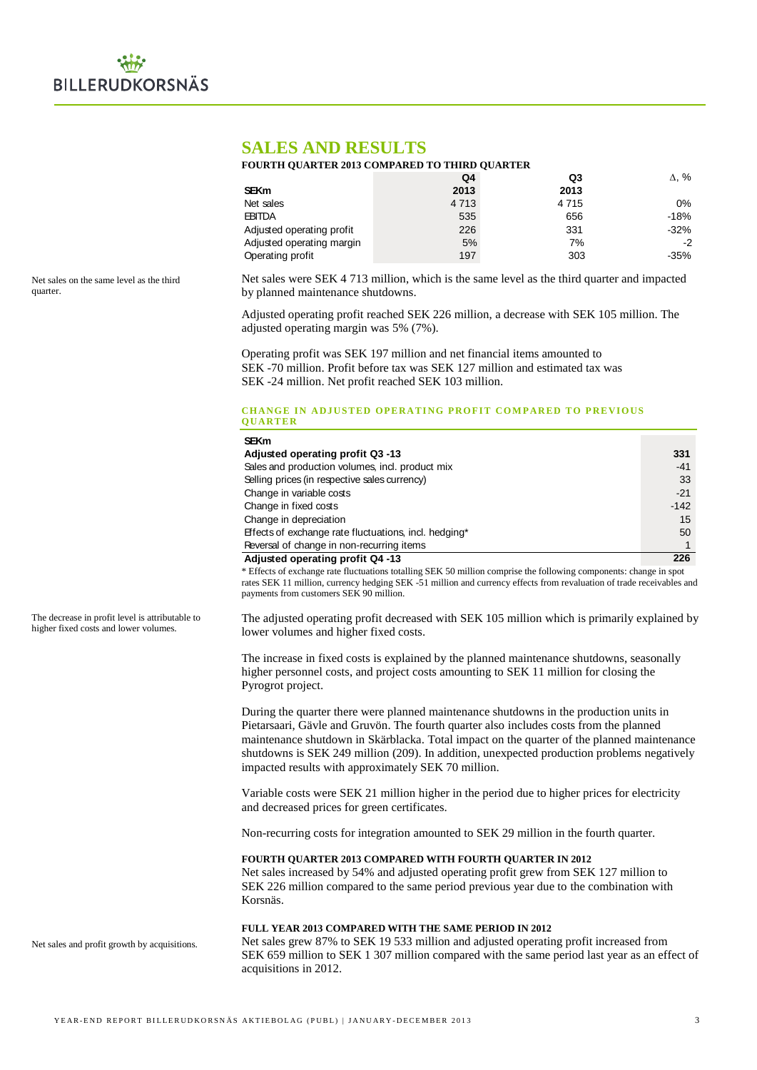# **SALES AND RESULTS**

# **FOURTH QUARTER 2013 COMPARED TO THIRD QUARTER**

|                           | Q4      | Q3      | $\Delta$ , % |
|---------------------------|---------|---------|--------------|
| <b>SEKm</b>               | 2013    | 2013    |              |
| Net sales                 | 4 7 1 3 | 4 7 1 5 | 0%           |
| <b>EBITDA</b>             | 535     | 656     | $-18%$       |
| Adjusted operating profit | 226     | 331     | $-32%$       |
| Adjusted operating margin | 5%      | 7%      | $-2$         |
| Operating profit          | 197     | 303     | -35%         |

Net sales on the same level as the third quarter.

Net sales were SEK 4 713 million, which is the same level as the third quarter and impacted by planned maintenance shutdowns.

Adjusted operating profit reached SEK 226 million, a decrease with SEK 105 million. The adjusted operating margin was 5% (7%).

Operating profit was SEK 197 million and net financial items amounted to SEK -70 million. Profit before tax was SEK 127 million and estimated tax was SEK -24 million. Net profit reached SEK 103 million.

### **CHANGE IN ADJUSTED OPERATING PROFIT COMPARED TO PREVIOUS Q UART E R**

| <b>SEKm</b>                                           |        |
|-------------------------------------------------------|--------|
| Adjusted operating profit Q3 -13                      | 331    |
| Sales and production volumes, incl. product mix       | $-41$  |
| Selling prices (in respective sales currency)         | 33     |
| Change in variable costs                              | $-21$  |
| Change in fixed costs                                 | $-142$ |
| Change in depreciation                                | 15     |
| Effects of exchange rate fluctuations, incl. hedging* | 50     |
| Reversal of change in non-recurring items             |        |
| Adjusted operating profit Q4-13                       | 226    |

\* Effects of exchange rate fluctuations totalling SEK 50 million comprise the following components: change in spot rates SEK 11 million, currency hedging SEK -51 million and currency effects from revaluation of trade receivables and payments from customers SEK 90 million.

The adjusted operating profit decreased with SEK 105 million which is primarily explained by lower volumes and higher fixed costs.

The increase in fixed costs is explained by the planned maintenance shutdowns, seasonally higher personnel costs, and project costs amounting to SEK 11 million for closing the Pyrogrot project.

During the quarter there were planned maintenance shutdowns in the production units in Pietarsaari, Gävle and Gruvön. The fourth quarter also includes costs from the planned maintenance shutdown in Skärblacka. Total impact on the quarter of the planned maintenance shutdowns is SEK 249 million (209). In addition, unexpected production problems negatively impacted results with approximately SEK 70 million.

Variable costs were SEK 21 million higher in the period due to higher prices for electricity and decreased prices for green certificates.

Non-recurring costs for integration amounted to SEK 29 million in the fourth quarter.

# **FOURTH QUARTER 2013 COMPARED WITH FOURTH QUARTER IN 2012**

Net sales increased by 54% and adjusted operating profit grew from SEK 127 million to SEK 226 million compared to the same period previous year due to the combination with Korsnäs.

# **FULL YEAR 2013 COMPARED WITH THE SAME PERIOD IN 2012**

Net sales grew 87% to SEK 19 533 million and adjusted operating profit increased from SEK 659 million to SEK 1 307 million compared with the same period last year as an effect of acquisitions in 2012.

The decrease in profit level is attributable to higher fixed costs and lower volumes.

Net sales and profit growth by acquisitions.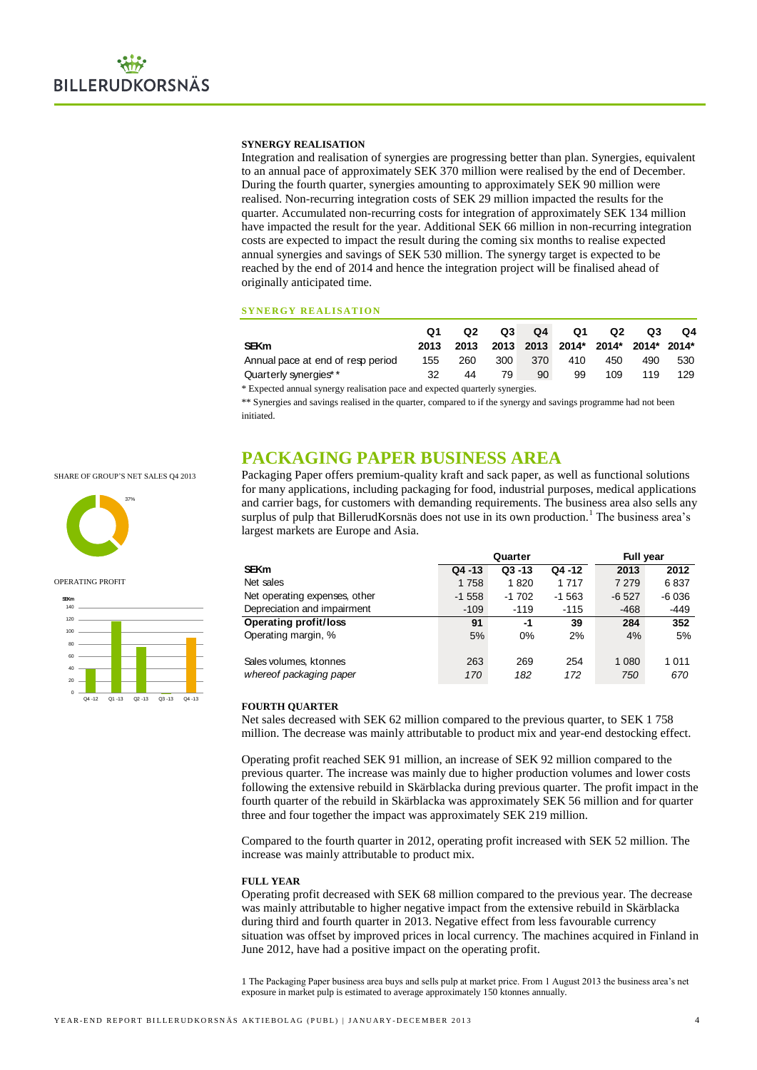### **SYNERGY REALISATION**

Integration and realisation of synergies are progressing better than plan. Synergies, equivalent to an annual pace of approximately SEK 370 million were realised by the end of December. During the fourth quarter, synergies amounting to approximately SEK 90 million were realised. Non-recurring integration costs of SEK 29 million impacted the results for the quarter. Accumulated non-recurring costs for integration of approximately SEK 134 million have impacted the result for the year. Additional SEK 66 million in non-recurring integration costs are expected to impact the result during the coming six months to realise expected annual synergies and savings of SEK 530 million. The synergy target is expected to be reached by the end of 2014 and hence the integration project will be finalised ahead of originally anticipated time.

### **SYNERGY REALISATION**

|                                   |     | Q2 D |    |    | Q3 Q4 Q1    | Q2                                          | Q3  | Q4  |
|-----------------------------------|-----|------|----|----|-------------|---------------------------------------------|-----|-----|
| <b>SEKm</b>                       |     |      |    |    |             | 2013 2013 2013 2013 2014* 2014* 2014* 2014* |     |     |
| Annual pace at end of resp period | 155 | 260  |    |    | 300 370 410 | 450                                         | 490 | 530 |
| Quarterly synergies* *            | 32  | 44   | 79 | 90 | 99          | 109                                         | 119 | 129 |
|                                   |     |      |    |    |             |                                             |     |     |

# **PACKAGING PAPER BUSINESS AREA**

|                                                                                                                                                                                                                                                                                                                                                                                                                                                                                                                                                                                                                                                                                    | Q1   | Q <sub>2</sub> | Q3      | Q4      | Q1      | Q <sub>2</sub> | Q3        | Q4     |
|------------------------------------------------------------------------------------------------------------------------------------------------------------------------------------------------------------------------------------------------------------------------------------------------------------------------------------------------------------------------------------------------------------------------------------------------------------------------------------------------------------------------------------------------------------------------------------------------------------------------------------------------------------------------------------|------|----------------|---------|---------|---------|----------------|-----------|--------|
| <b>SEKm</b>                                                                                                                                                                                                                                                                                                                                                                                                                                                                                                                                                                                                                                                                        | 2013 | 2013           | 2013    | 2013    | 2014*   | 2014*          | 2014*     | 2014*  |
| Annual pace at end of resp period                                                                                                                                                                                                                                                                                                                                                                                                                                                                                                                                                                                                                                                  | 155  | 260            | 300     | 370     | 410     | 450            | 490       | 530    |
| Quarterly synergies**                                                                                                                                                                                                                                                                                                                                                                                                                                                                                                                                                                                                                                                              | 32   | 44             | 79      | 90      | 99      | 109            | 119       | 129    |
| * Expected annual synergy realisation pace and expected quarterly synergies.<br>** Synergies and savings realised in the quarter, compared to if the synergy and savings programme had not been<br>initiated.                                                                                                                                                                                                                                                                                                                                                                                                                                                                      |      |                |         |         |         |                |           |        |
| PACKAGING PAPER BUSINESS AREA                                                                                                                                                                                                                                                                                                                                                                                                                                                                                                                                                                                                                                                      |      |                |         |         |         |                |           |        |
| Packaging Paper offers premium-quality kraft and sack paper, as well as functional solutions<br>for many applications, including packaging for food, industrial purposes, medical applications<br>and carrier bags, for customers with demanding requirements. The business area also sells any<br>surplus of pulp that BillerudKorsnäs does not use in its own production. <sup>1</sup> The business area's<br>largest markets are Europe and Asia.                                                                                                                                                                                                                               |      |                |         |         |         |                |           |        |
|                                                                                                                                                                                                                                                                                                                                                                                                                                                                                                                                                                                                                                                                                    |      |                | Quarter |         |         |                | Full year |        |
| <b>SEKm</b>                                                                                                                                                                                                                                                                                                                                                                                                                                                                                                                                                                                                                                                                        |      | Q4 -13         | Q3-13   |         | Q4 -12  | 2013           |           | 2012   |
| Net sales                                                                                                                                                                                                                                                                                                                                                                                                                                                                                                                                                                                                                                                                          |      | 1758           |         | 1820    | 1717    | 7 2 7 9        |           | 6837   |
| Net operating expenses, other                                                                                                                                                                                                                                                                                                                                                                                                                                                                                                                                                                                                                                                      |      | -1 558         |         | $-1702$ | $-1563$ | $-6527$        |           | -6 036 |
| Depreciation and impairment                                                                                                                                                                                                                                                                                                                                                                                                                                                                                                                                                                                                                                                        |      | $-109$         |         | -119    | $-115$  |                | -468      | -449   |
| <b>Operating profit/loss</b>                                                                                                                                                                                                                                                                                                                                                                                                                                                                                                                                                                                                                                                       |      | 91             |         | -1      | 39      |                | 284       | 352    |
| Operating margin, %                                                                                                                                                                                                                                                                                                                                                                                                                                                                                                                                                                                                                                                                |      | 5%             |         | 0%      | 2%      |                | 4%        | 5%     |
| Sales volumes, ktonnes                                                                                                                                                                                                                                                                                                                                                                                                                                                                                                                                                                                                                                                             |      | 263            |         | 269     | 254     | 1 0 8 0        |           | 1011   |
| whereof packaging paper                                                                                                                                                                                                                                                                                                                                                                                                                                                                                                                                                                                                                                                            |      | 170            |         | 182     | 172     |                | 750       | 670    |
| <b>FOURTH QUARTER</b><br>Net sales decreased with SEK 62 million compared to the previous quarter, to SEK 1758<br>million. The decrease was mainly attributable to product mix and year-end destocking effect.<br>Operating profit reached SEK 91 million, an increase of SEK 92 million compared to the<br>previous quarter. The increase was mainly due to higher production volumes and lower costs<br>following the extensive rebuild in Skärblacka during previous quarter. The profit impact in the<br>fourth quarter of the rebuild in Skärblacka was approximately SEK 56 million and for quarter<br>three and four together the impact was approximately SEK 219 million. |      |                |         |         |         |                |           |        |
| Compared to the fourth quarter in 2012, operating profit increased with SEK 52 million. The<br>increase was mainly attributable to product mix.                                                                                                                                                                                                                                                                                                                                                                                                                                                                                                                                    |      |                |         |         |         |                |           |        |
| <b>FULL YEAR</b><br>Operating profit decreased with SEK 68 million compared to the previous year. The decrease<br>was mainly attributable to higher negative impact from the extensive rebuild in Skärblacka<br>during third and fourth quarter in 2013. Negative effect from less favourable currency<br>situation was offset by improved prices in local currency. The machines acquired in Finland in<br>June 2012, have had a positive impact on the operating profit.                                                                                                                                                                                                         |      |                |         |         |         |                |           |        |
| 1 The Packaging Paper business area buys and sells pulp at market price. From 1 August 2013 the business area's net<br>exposure in market pulp is estimated to average approximately 150 ktonnes annually.                                                                                                                                                                                                                                                                                                                                                                                                                                                                         |      |                |         |         |         |                |           |        |

### **FOURTH QUARTER**

### **FULL YEAR**

SHARE OF GROUP'S NET SALES Q4 2013



#### OPERATING PROFIT

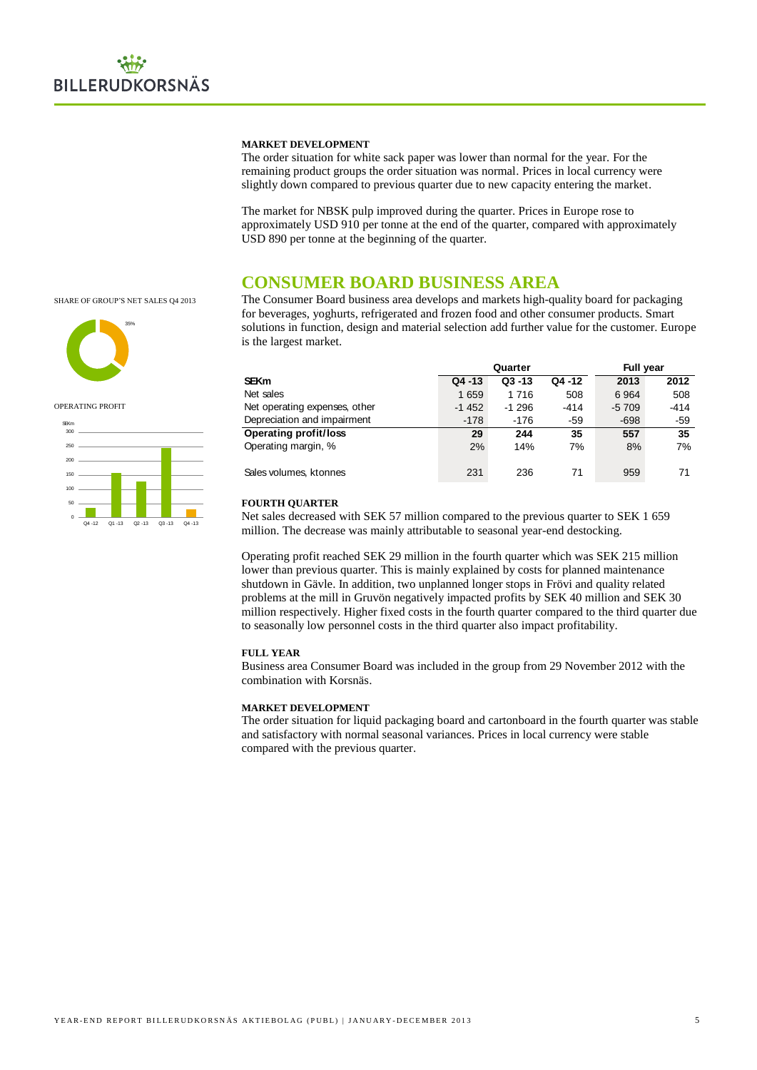### **MARKET DEVELOPMENT**

The order situation for white sack paper was lower than normal for the year. For the remaining product groups the order situation was normal. Prices in local currency were slightly down compared to previous quarter due to new capacity entering the market.

The market for NBSK pulp improved during the quarter. Prices in Europe rose to approximately USD 910 per tonne at the end of the quarter, compared with approximately USD 890 per tonne at the beginning of the quarter.

# **CONSUMER BOARD BUSINESS AREA**

SHARE OF GROUP'S NET SALES Q4 2013



OPERATING PROFIT



The Consumer Board business area develops and markets high-quality board for packaging for beverages, yoghurts, refrigerated and frozen food and other consumer products. Smart solutions in function, design and material selection add further value for the customer. Europe is the largest market.

|                               |           | Quarter   | <b>Full year</b> |         |        |
|-------------------------------|-----------|-----------|------------------|---------|--------|
| <b>SEKm</b>                   | $Q4 - 13$ | $Q3 - 13$ | Q4 -12           | 2013    | 2012   |
| Net sales                     | 1659      | 1716      | 508              | 6964    | 508    |
| Net operating expenses, other | $-1452$   | $-1296$   | -414             | $-5709$ | $-414$ |
| Depreciation and impairment   | $-178$    | -176      | -59              | $-698$  | $-59$  |
| <b>Operating profit/loss</b>  | 29        | 244       | 35               | 557     | 35     |
| Operating margin, %           | 2%        | 14%       | 7%               | 8%      | 7%     |
| Sales volumes, ktonnes        | 231       | 236       | 71               | 959     | 71     |

### **FOURTH QUARTER**

Net sales decreased with SEK 57 million compared to the previous quarter to SEK 1 659 million. The decrease was mainly attributable to seasonal year-end destocking.

Operating profit reached SEK 29 million in the fourth quarter which was SEK 215 million lower than previous quarter. This is mainly explained by costs for planned maintenance shutdown in Gävle. In addition, two unplanned longer stops in Frövi and quality related problems at the mill in Gruvön negatively impacted profits by SEK 40 million and SEK 30 million respectively. Higher fixed costs in the fourth quarter compared to the third quarter due to seasonally low personnel costs in the third quarter also impact profitability.

### **FULL YEAR**

Business area Consumer Board was included in the group from 29 November 2012 with the combination with Korsnäs.

## **MARKET DEVELOPMENT**

The order situation for liquid packaging board and cartonboard in the fourth quarter was stable and satisfactory with normal seasonal variances. Prices in local currency were stable compared with the previous quarter.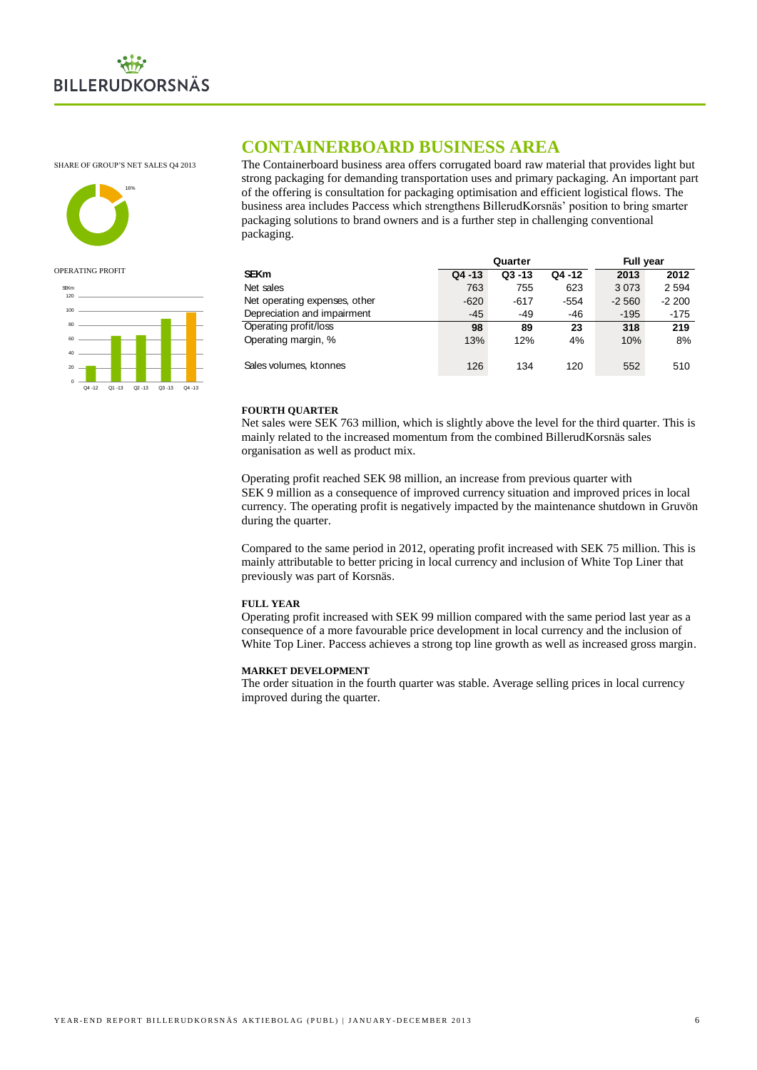

SHARE OF GROUP'S NET SALES Q4 2013



### OPERATING PROFIT



# **CONTAINERBOARD BUSINESS AREA**

The Containerboard business area offers corrugated board raw material that provides light but strong packaging for demanding transportation uses and primary packaging. An important part of the offering is consultation for packaging optimisation and efficient logistical flows. The business area includes Paccess which strengthens BillerudKorsnäs' position to bring smarter packaging solutions to brand owners and is a further step in challenging conventional packaging.

|                               |           | Quarter   | <b>Full year</b> |         |         |
|-------------------------------|-----------|-----------|------------------|---------|---------|
| <b>SEKm</b>                   | $Q4 - 13$ | $Q3 - 13$ | Q4 -12           | 2013    | 2012    |
| Net sales                     | 763       | 755       | 623              | 3073    | 2 5 9 4 |
| Net operating expenses, other | $-620$    | $-617$    | $-554$           | $-2560$ | $-2200$ |
| Depreciation and impairment   | $-45$     | -49       | -46              | $-195$  | $-175$  |
| Operating profit/loss         | 98        | 89        | 23               | 318     | 219     |
| Operating margin, %           | 13%       | 12%       | 4%               | 10%     | 8%      |
| Sales volumes, ktonnes        | 126       | 134       | 120              | 552     | 510     |

### **FOURTH QUARTER**

Net sales were SEK 763 million, which is slightly above the level for the third quarter. This is mainly related to the increased momentum from the combined BillerudKorsnäs sales organisation as well as product mix.

Operating profit reached SEK 98 million, an increase from previous quarter with SEK 9 million as a consequence of improved currency situation and improved prices in local currency. The operating profit is negatively impacted by the maintenance shutdown in Gruvön during the quarter.

Compared to the same period in 2012, operating profit increased with SEK 75 million. This is mainly attributable to better pricing in local currency and inclusion of White Top Liner that previously was part of Korsnäs.

### **FULL YEAR**

Operating profit increased with SEK 99 million compared with the same period last year as a consequence of a more favourable price development in local currency and the inclusion of White Top Liner. Paccess achieves a strong top line growth as well as increased gross margin.

### **MARKET DEVELOPMENT**

The order situation in the fourth quarter was stable. Average selling prices in local currency improved during the quarter.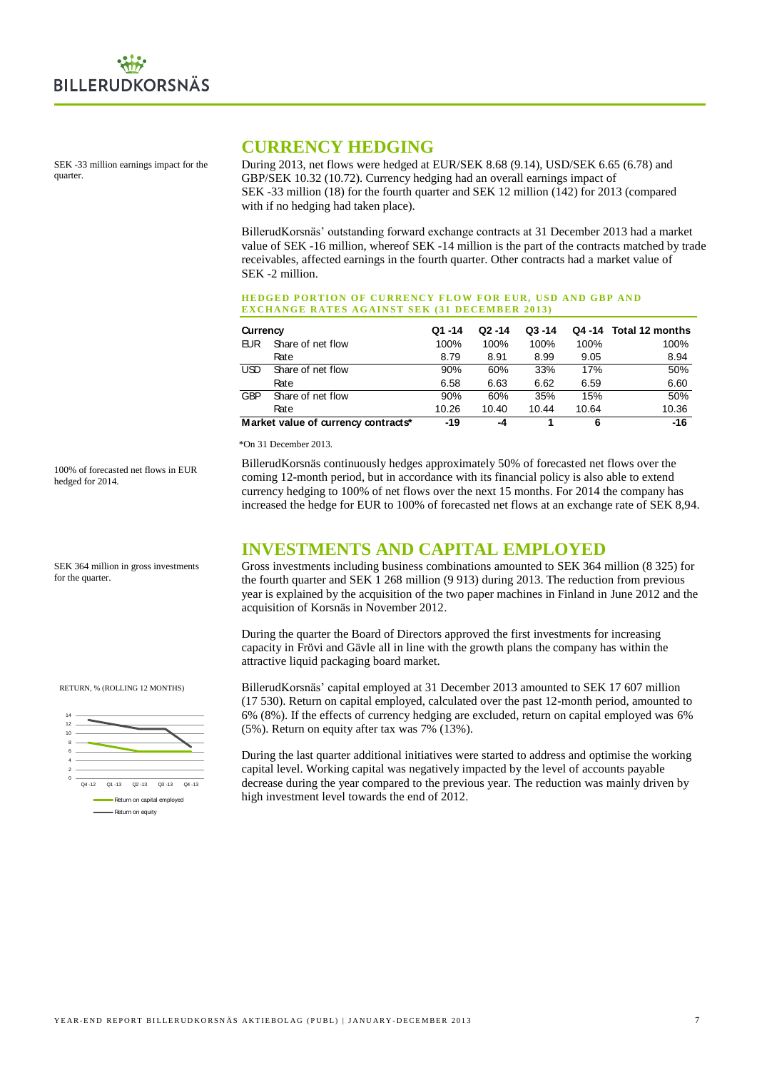SEK -33 million earnings impact for the quarter.

# **CURRENCY HEDGING**

During 2013, net flows were hedged at EUR/SEK 8.68 (9.14), USD/SEK 6.65 (6.78) and GBP/SEK 10.32 (10.72). Currency hedging had an overall earnings impact of SEK -33 million (18) for the fourth quarter and SEK 12 million (142) for 2013 (compared with if no hedging had taken place).

BillerudKorsnäs' outstanding forward exchange contracts at 31 December 2013 had a market value of SEK -16 million, whereof SEK -14 million is the part of the contracts matched by trade receivables, affected earnings in the fourth quarter. Other contracts had a market value of SEK -2 million.

### **HEDGED PORTION OF CURRENCY FLOW FOR FUR. USD AND GRP AND EXCHANGE RATES AGAINST SEK (31 DECEMBER 2013)**

| Currency |                                     | Q1 -14 | $Q2 - 14$ | $Q3 - 14$ |       | Q4 -14 Total 12 months |
|----------|-------------------------------------|--------|-----------|-----------|-------|------------------------|
| EUR      | Share of net flow                   | 100%   | 100%      | 100%      | 100%  | 100%                   |
|          | Rate                                | 8.79   | 8.91      | 8.99      | 9.05  | 8.94                   |
| USD      | Share of net flow                   | 90%    | 60%       | 33%       | 17%   | 50%                    |
|          | Rate                                | 6.58   | 6.63      | 6.62      | 6.59  | 6.60                   |
| GBP      | Share of net flow                   | 90%    | 60%       | 35%       | 15%   | 50%                    |
|          | Rate                                | 10.26  | 10.40     | 10.44     | 10.64 | 10.36                  |
|          | Market value of currency contracts* | $-19$  | -4        |           | 6     | $-16$                  |

### \*On 31 December 2013.

BillerudKorsnäs continuously hedges approximately 50% of forecasted net flows over the coming 12-month period, but in accordance with its financial policy is also able to extend currency hedging to 100% of net flows over the next 15 months. For 2014 the company has increased the hedge for EUR to 100% of forecasted net flows at an exchange rate of SEK 8,94.

# **INVESTMENTS AND CAPITAL EMPLOYED**

Gross investments including business combinations amounted to SEK 364 million (8 325) for the fourth quarter and SEK 1 268 million (9 913) during 2013. The reduction from previous year is explained by the acquisition of the two paper machines in Finland in June 2012 and the acquisition of Korsnäs in November 2012.

During the quarter the Board of Directors approved the first investments for increasing capacity in Frövi and Gävle all in line with the growth plans the company has within the attractive liquid packaging board market.

BillerudKorsnäs' capital employed at 31 December 2013 amounted to SEK 17 607 million (17 530). Return on capital employed, calculated over the past 12-month period, amounted to 6% (8%). If the effects of currency hedging are excluded, return on capital employed was 6% (5%). Return on equity after tax was 7% (13%).

During the last quarter additional initiatives were started to address and optimise the working capital level. Working capital was negatively impacted by the level of accounts payable decrease during the year compared to the previous year. The reduction was mainly driven by high investment level towards the end of 2012.

100% of forecasted net flows in EUR hedged for 2014.

SEK 364 million in gross investments

for the quarter.

RETURN, % (ROLLING 12 MONTHS)

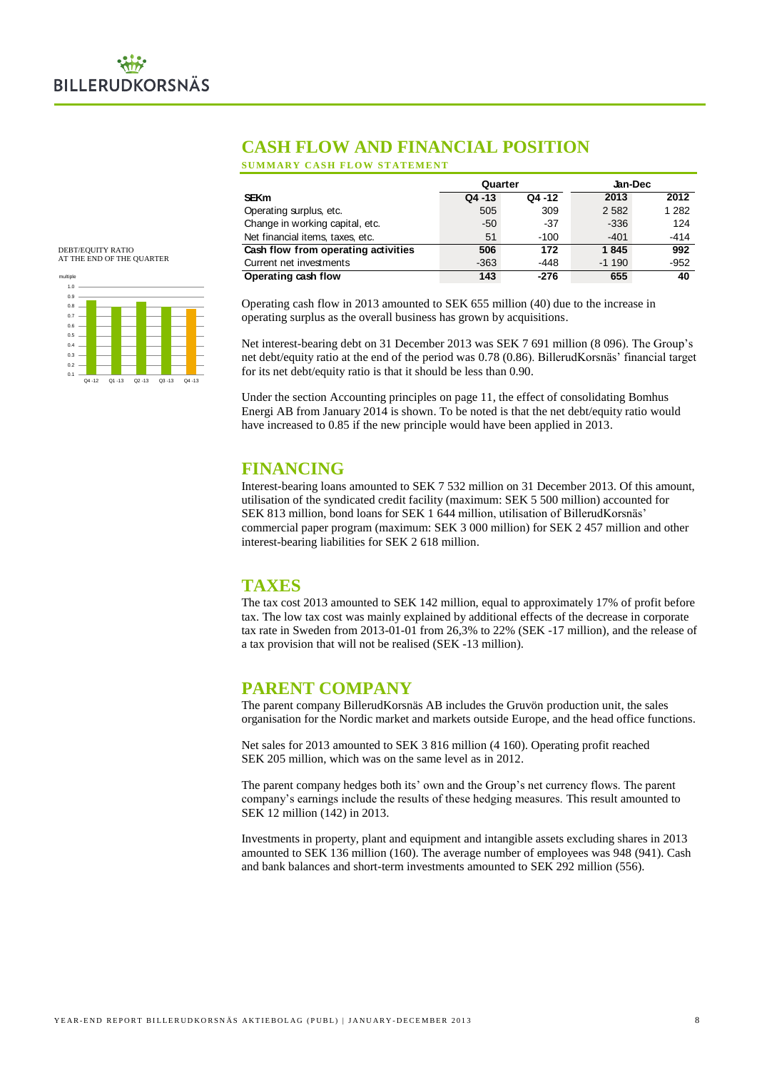# **CASH FLOW AND FINANCIAL POSITION**

**SUMMARY CASH FLOW STATEMENT** 

|                                     | Quarter   |        | Jan-Dec |         |  |
|-------------------------------------|-----------|--------|---------|---------|--|
| <b>SEKm</b>                         | $Q4 - 13$ | Q4 -12 | 2013    | 2012    |  |
| Operating surplus, etc.             | 505       | 309    | 2582    | 1 2 8 2 |  |
| Change in working capital, etc.     | $-50$     | $-37$  | $-336$  | 124     |  |
| Net financial items, taxes, etc.    | 51        | $-100$ | $-401$  | $-414$  |  |
| Cash flow from operating activities | 506       | 172    | 1845    | 992     |  |
| Current net investments             | $-363$    | -448   | $-1190$ | $-952$  |  |
| Operating cash flow                 | 143       | -276   | 655     | 40      |  |

# DEBT/EQUITY RATIO AT THE END OF THE QUARTER



Operating cash flow in 2013 amounted to SEK 655 million (40) due to the increase in operating surplus as the overall business has grown by acquisitions.

Net interest-bearing debt on 31 December 2013 was SEK 7 691 million (8 096). The Group's net debt/equity ratio at the end of the period was 0.78 (0.86). BillerudKorsnäs' financial target for its net debt/equity ratio is that it should be less than 0.90.

Under the section Accounting principles on page 11, the effect of consolidating Bomhus Energi AB from January 2014 is shown. To be noted is that the net debt/equity ratio would have increased to 0.85 if the new principle would have been applied in 2013.

# **FINANCING**

Interest-bearing loans amounted to SEK 7 532 million on 31 December 2013. Of this amount, utilisation of the syndicated credit facility (maximum: SEK 5 500 million) accounted for SEK 813 million, bond loans for SEK 1 644 million, utilisation of BillerudKorsnäs' commercial paper program (maximum: SEK 3 000 million) for SEK 2 457 million and other interest-bearing liabilities for SEK 2 618 million.

# **TAXES**

The tax cost 2013 amounted to SEK 142 million, equal to approximately 17% of profit before tax. The low tax cost was mainly explained by additional effects of the decrease in corporate tax rate in Sweden from 2013-01-01 from 26,3% to 22% (SEK -17 million), and the release of a tax provision that will not be realised (SEK -13 million).

# **PARENT COMPANY**

The parent company BillerudKorsnäs AB includes the Gruvön production unit, the sales organisation for the Nordic market and markets outside Europe, and the head office functions.

Net sales for 2013 amounted to SEK 3 816 million (4 160). Operating profit reached SEK 205 million, which was on the same level as in 2012.

The parent company hedges both its' own and the Group's net currency flows. The parent company's earnings include the results of these hedging measures. This result amounted to SEK 12 million (142) in 2013.

Investments in property, plant and equipment and intangible assets excluding shares in 2013 amounted to SEK 136 million (160). The average number of employees was 948 (941). Cash and bank balances and short-term investments amounted to SEK 292 million (556).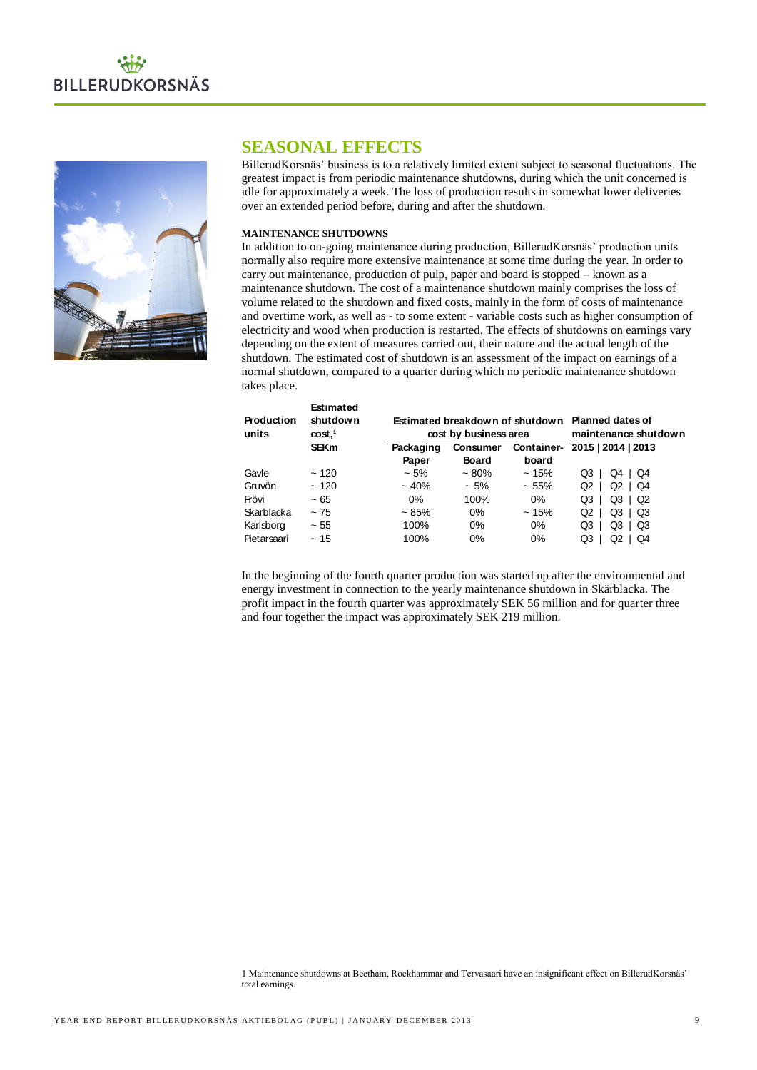



# **SEASONAL EFFECTS**

BillerudKorsnäs' business is to a relatively limited extent subject to seasonal fluctuations. The greatest impact is from periodic maintenance shutdowns, during which the unit concerned is idle for approximately a week. The loss of production results in somewhat lower deliveries over an extended period before, during and after the shutdown.

# **MAINTENANCE SHUTDOWNS**

In addition to on-going maintenance during production, BillerudKorsnäs' production units normally also require more extensive maintenance at some time during the year. In order to carry out maintenance, production of pulp, paper and board is stopped – known as a maintenance shutdown. The cost of a maintenance shutdown mainly comprises the loss of volume related to the shutdown and fixed costs, mainly in the form of costs of maintenance and overtime work, as well as - to some extent - variable costs such as higher consumption of electricity and wood when production is restarted. The effects of shutdowns on earnings vary depending on the extent of measures carried out, their nature and the actual length of the shutdown. The estimated cost of shutdown is an assessment of the impact on earnings of a normal shutdown, compared to a quarter during which no periodic maintenance shutdown takes place.

|                 | Estimated                                                       |                       |                                                  |                   |                                                                                                                                                                                                                                                                                     |  |  |  |
|-----------------|-----------------------------------------------------------------|-----------------------|--------------------------------------------------|-------------------|-------------------------------------------------------------------------------------------------------------------------------------------------------------------------------------------------------------------------------------------------------------------------------------|--|--|--|
| Production      | shut down                                                       |                       | Estimated breakdown of shutdown Planned dates of |                   |                                                                                                                                                                                                                                                                                     |  |  |  |
| units           | $\cos t$ , <sup>1</sup>                                         | cost by business area |                                                  |                   | maintenance shutdown                                                                                                                                                                                                                                                                |  |  |  |
|                 | <b>SEKm</b>                                                     | Packaging             | <b>Consumer</b>                                  | <b>Container-</b> | 2015   2014   2013                                                                                                                                                                                                                                                                  |  |  |  |
|                 |                                                                 | Paper                 | <b>Board</b>                                     | board             |                                                                                                                                                                                                                                                                                     |  |  |  |
| Gävle           | ~120                                                            | ~15%                  | $~10\%$                                          | ~15%              | Q3   Q4   Q4                                                                                                                                                                                                                                                                        |  |  |  |
| Gruvön          | ~120                                                            | $~10\%$               | ~15%                                             | ~55%              | Q2 $\vert$<br>$Q2$   $Q4$                                                                                                                                                                                                                                                           |  |  |  |
| Frövi           | $~1$ – 65                                                       | 0%                    | 100%                                             | 0%                | $Q3$  <br>Q3   Q2                                                                                                                                                                                                                                                                   |  |  |  |
| Skärblacka      | ~175                                                            | ~ 85%                 | 0%                                               | ~15%              | Q3   Q3<br>Q2 $\vert$                                                                                                                                                                                                                                                               |  |  |  |
| Karlsborg       | $\sim 55$                                                       | 100%                  | 0%                                               | 0%                | Q3   Q3<br>$Q3$                                                                                                                                                                                                                                                                     |  |  |  |
| Pietarsaari     | ~15                                                             | 100%                  | 0%                                               | 0%                | Q3   Q2   Q4                                                                                                                                                                                                                                                                        |  |  |  |
|                 | and four together the impact was approximately SEK 219 million. |                       |                                                  |                   | In the beginning of the fourth quarter production was started up after the environmental and<br>energy investment in connection to the yearly maintenance shutdown in Skärblacka. The<br>profit impact in the fourth quarter was approximately SEK 56 million and for quarter three |  |  |  |
| total earnings. |                                                                 |                       |                                                  |                   | 1 Maintenance shutdowns at Beetham, Rockhammar and Tervasaari have an insignificant effect on BillerudKorsnäs'                                                                                                                                                                      |  |  |  |

<sup>1</sup> Maintenance shutdowns at Beetham, Rockhammar and Tervasaari have an insignificant effect on BillerudKorsnäs' total earnings.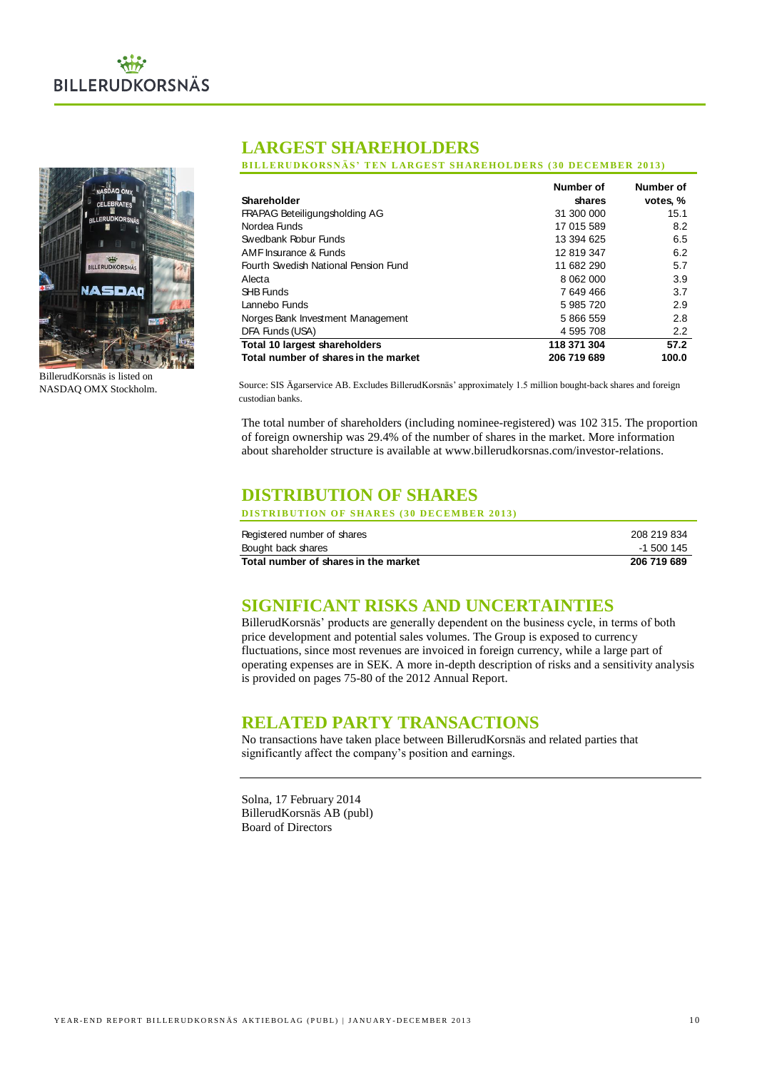



BillerudKorsnäs is listed on NASDAQ OMX Stockholm.

# **LARGEST SHAREHOLDERS**

**BILLERUDKORSNÄS' TEN LARGEST SHAREHOLDERS (30 DECEMBER 2013)** 

|                                      | Number of   | Number of |
|--------------------------------------|-------------|-----------|
| Shareholder                          | shares      | votes. %  |
| FRAPAG Beteiligungsholding AG        | 31 300 000  | 15.1      |
| Nordea Funds                         | 17 015 589  | 8.2       |
| Swedbank Robur Funds                 | 13 394 625  | 6.5       |
| AMF Insurance & Funds                | 12 819 347  | 6.2       |
| Fourth Swedish National Pension Fund | 11 682 290  | 5.7       |
| Alecta                               | 8 062 000   | 3.9       |
| SHB Funds                            | 7 649 466   | 3.7       |
| Lannebo Funds                        | 5 985 720   | 2.9       |
| Norges Bank Investment Management    | 5 866 559   | 2.8       |
| DFA Funds (USA)                      | 4 595 708   | 2.2       |
| <b>Total 10 largest shareholders</b> | 118 371 304 | 57.2      |
| Total number of shares in the market | 206 719 689 | 100.0     |

Source: SIS Ägarservice AB. Excludes BillerudKorsnäs' approximately 1.5 million bought-back shares and foreign custodian banks.

The total number of shareholders (including nominee-registered) was 102 315. The proportion of foreign ownership was 29.4% of the number of shares in the market. More information about shareholder structure is available at www.billerudkorsnas.com/investor-relations.

# **DISTRIBUTION OF SHARES**

**DISTRIBUTION OF SHARES (30 DECEMBER 2013)** 

| Registered number of shares          | 208 219 834 |
|--------------------------------------|-------------|
| Bought back shares                   | -1 500 145  |
| Total number of shares in the market | 206 719 689 |

# **SIGNIFICANT RISKS AND UNCERTAINTIES**

BillerudKorsnäs' products are generally dependent on the business cycle, in terms of both price development and potential sales volumes. The Group is exposed to currency fluctuations, since most revenues are invoiced in foreign currency, while a large part of operating expenses are in SEK. A more in-depth description of risks and a sensitivity analysis is provided on pages 75-80 of the 2012 Annual Report.

# **RELATED PARTY TRANSACTIONS**

No transactions have taken place between BillerudKorsnäs and related parties that significantly affect the company's position and earnings.

Solna, 17 February 2014 BillerudKorsnäs AB (publ) Board of Directors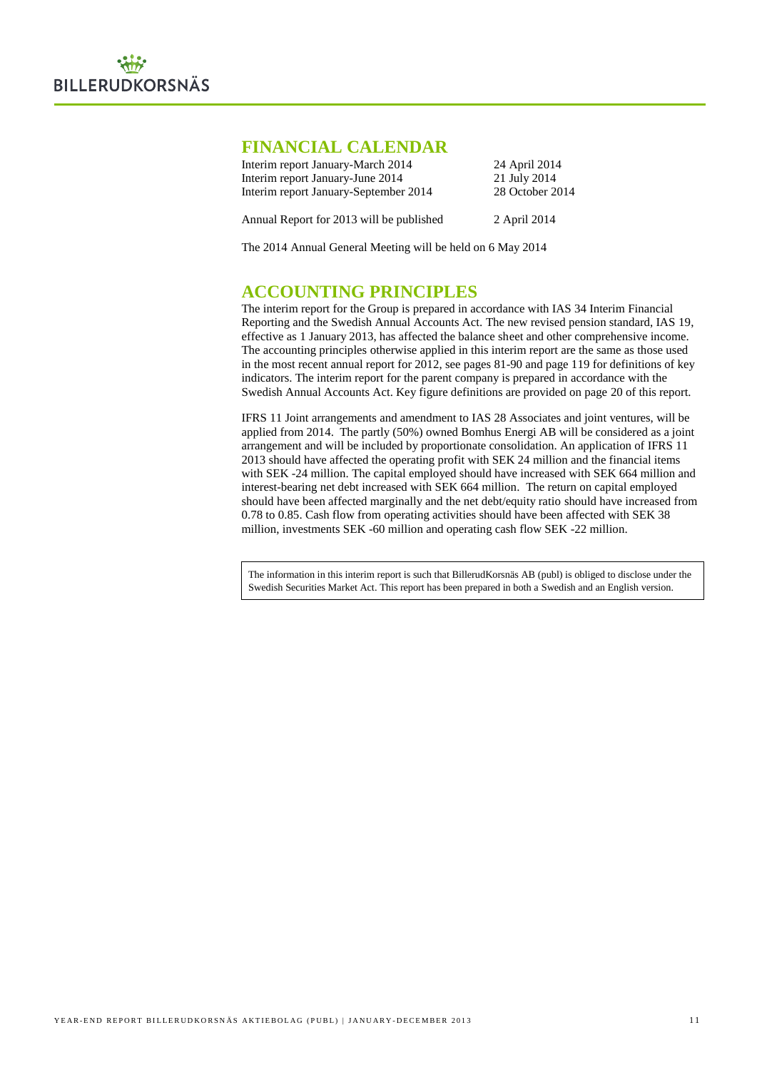# **FINANCIAL CALENDAR**

| Interim report January-March 2014        | 24 April 2014   |
|------------------------------------------|-----------------|
| Interim report January-June 2014         | 21 July 2014    |
| Interim report January-September 2014    | 28 October 2014 |
| Annual Report for 2013 will be published | 2 April 2014    |

The 2014 Annual General Meeting will be held on 6 May 2014

# **ACCOUNTING PRINCIPLES**

The interim report for the Group is prepared in accordance with IAS 34 Interim Financial Reporting and the Swedish Annual Accounts Act. The new revised pension standard, IAS 19, effective as 1 January 2013, has affected the balance sheet and other comprehensive income. The accounting principles otherwise applied in this interim report are the same as those used in the most recent annual report for 2012, see pages 81-90 and page 119 for definitions of key indicators. The interim report for the parent company is prepared in accordance with the Swedish Annual Accounts Act. Key figure definitions are provided on page 20 of this report.

IFRS 11 Joint arrangements and amendment to IAS 28 Associates and joint ventures, will be applied from 2014. The partly (50%) owned Bomhus Energi AB will be considered as a joint arrangement and will be included by proportionate consolidation. An application of IFRS 11 2013 should have affected the operating profit with SEK 24 million and the financial items with SEK -24 million. The capital employed should have increased with SEK 664 million and interest-bearing net debt increased with SEK 664 million. The return on capital employed should have been affected marginally and the net debt/equity ratio should have increased from 0.78 to 0.85. Cash flow from operating activities should have been affected with SEK 38 million, investments SEK -60 million and operating cash flow SEK -22 million.

The information in this interim report is such that BillerudKorsnäs AB (publ) is obliged to disclose under the Swedish Securities Market Act. This report has been prepared in both a Swedish and an English version.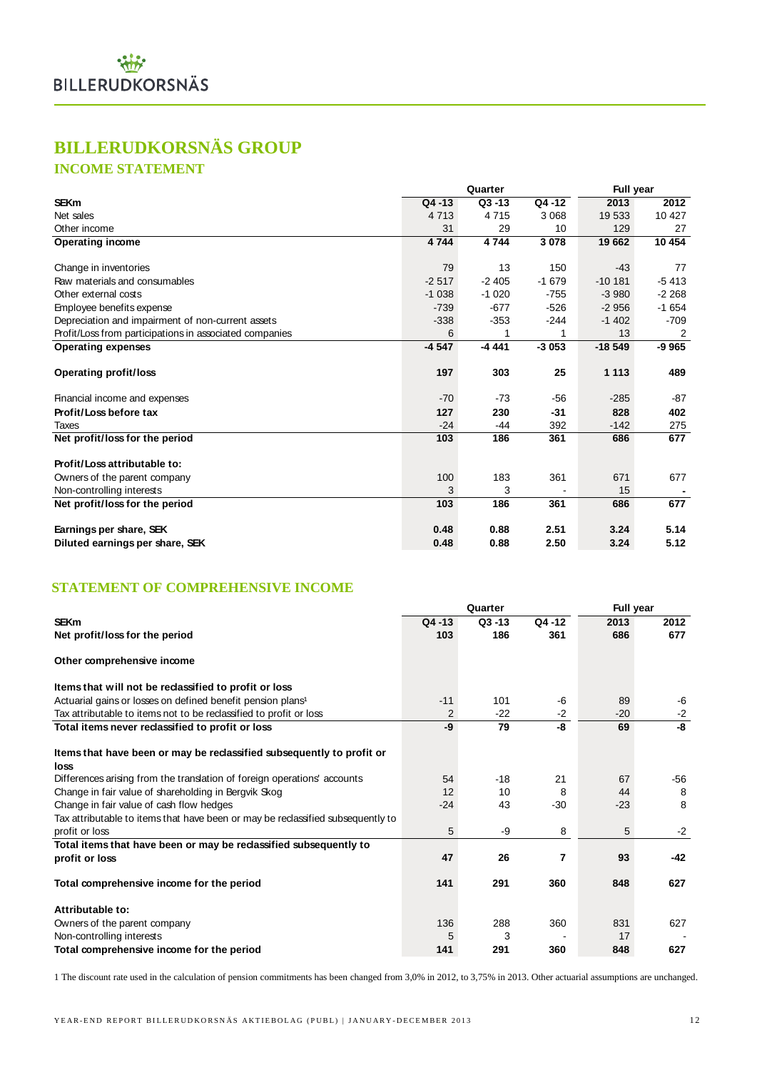# **BILLERUDKORSNÄS GROUP**

# **INCOME STATEMENT**

|                                                         |           | Quarter   | <b>Full year</b> |          |         |
|---------------------------------------------------------|-----------|-----------|------------------|----------|---------|
| <b>SEKm</b>                                             | $Q4 - 13$ | $Q3 - 13$ | Q4 -12           | 2013     | 2012    |
| Net sales                                               | 4 7 1 3   | 4715      | 3 0 6 8          | 19 533   | 10 427  |
| Other income                                            | 31        | 29        | 10               | 129      | 27      |
| <b>Operating income</b>                                 | 4 7 4 4   | 4744      | 3 0 7 8          | 19 662   | 10 454  |
| Change in inventories                                   | 79        | 13        | 150              | $-43$    | 77      |
| Raw materials and consumables                           | $-2.517$  | $-2405$   | $-1679$          | $-10181$ | $-5413$ |
| Other external costs                                    | $-1038$   | $-1020$   | $-755$           | $-3980$  | $-2268$ |
| Employee benefits expense                               | $-739$    | $-677$    | -526             | $-2956$  | $-1654$ |
| Depreciation and impairment of non-current assets       | $-338$    | $-353$    | -244             | $-1402$  | $-709$  |
| Profit/Loss from participations in associated companies | 6         | 1         | 1                | 13       | 2       |
| <b>Operating expenses</b>                               | $-4547$   | $-4441$   | $-3053$          | $-18549$ | $-9965$ |
| <b>Operating profit/loss</b>                            | 197       | 303       | 25               | 1 1 1 3  | 489     |
| Financial income and expenses                           | $-70$     | $-73$     | $-56$            | $-285$   | -87     |
| Profit/Loss before tax                                  | 127       | 230       | $-31$            | 828      | 402     |
| Taxes                                                   | $-24$     | $-44$     | 392              | $-142$   | 275     |
| Net profit/loss for the period                          | 103       | 186       | 361              | 686      | 677     |
| Profit/Loss attributable to:                            |           |           |                  |          |         |
| Owners of the parent company                            | 100       | 183       | 361              | 671      | 677     |
| Non-controlling interests                               | 3         | 3         |                  | 15       |         |
| Net profit/loss for the period                          | 103       | 186       | 361              | 686      | 677     |
| Earnings per share, SEK                                 | 0.48      | 0.88      | 2.51             | 3.24     | 5.14    |
| Diluted earnings per share, SEK                         | 0.48      | 0.88      | 2.50             | 3.24     | 5.12    |

# **STATEMENT OF COMPREHENSIVE INCOME**

|                                                                                                   |           | Quarter   | Full year |       |       |
|---------------------------------------------------------------------------------------------------|-----------|-----------|-----------|-------|-------|
| <b>SEKm</b>                                                                                       | $Q4 - 13$ | $Q3 - 13$ | Q4 -12    | 2013  | 2012  |
| Net profit/loss for the period                                                                    | 103       | 186       | 361       | 686   | 677   |
| Other comprehensive income                                                                        |           |           |           |       |       |
| Items that will not be reclassified to profit or loss                                             |           |           |           |       |       |
| Actuarial gains or losses on defined benefit pension plans <sup>1</sup>                           | $-11$     | 101       | -6        | 89    | -6    |
| Tax attributable to items not to be reclassified to profit or loss                                | 2         | $-22$     | $-2$      | $-20$ | $-2$  |
| Total items never reclassified to profit or loss                                                  | -9        | 79        | -8        | 69    | -8    |
| Items that have been or may be reclassified subsequently to profit or<br>loss                     |           |           |           |       |       |
| Differences arising from the translation of foreign operations' accounts                          | 54        | $-18$     | 21        | 67    | -56   |
| Change in fair value of shareholding in Bergvik Skog                                              | 12        | 10        | 8         | 44    | 8     |
| Change in fair value of cash flow hedges                                                          | $-24$     | 43        | $-30$     | $-23$ | 8     |
| Tax attributable to items that have been or may be reclassified subsequently to<br>profit or loss | 5         | -9        | 8         | 5     | $-2$  |
| Total items that have been or may be reclassified subsequently to                                 |           |           |           |       |       |
| profit or loss                                                                                    | 47        | 26        | 7         | 93    | $-42$ |
| Total comprehensive income for the period                                                         | 141       | 291       | 360       | 848   | 627   |
| Attributable to:                                                                                  |           |           |           |       |       |
| Owners of the parent company                                                                      | 136       | 288       | 360       | 831   | 627   |
| Non-controlling interests                                                                         | 5         | 3         |           | 17    |       |
| Total comprehensive income for the period                                                         | 141       | 291       | 360       | 848   | 627   |

1 The discount rate used in the calculation of pension commitments has been changed from 3,0% in 2012, to 3,75% in 2013. Other actuarial assumptions are unchanged.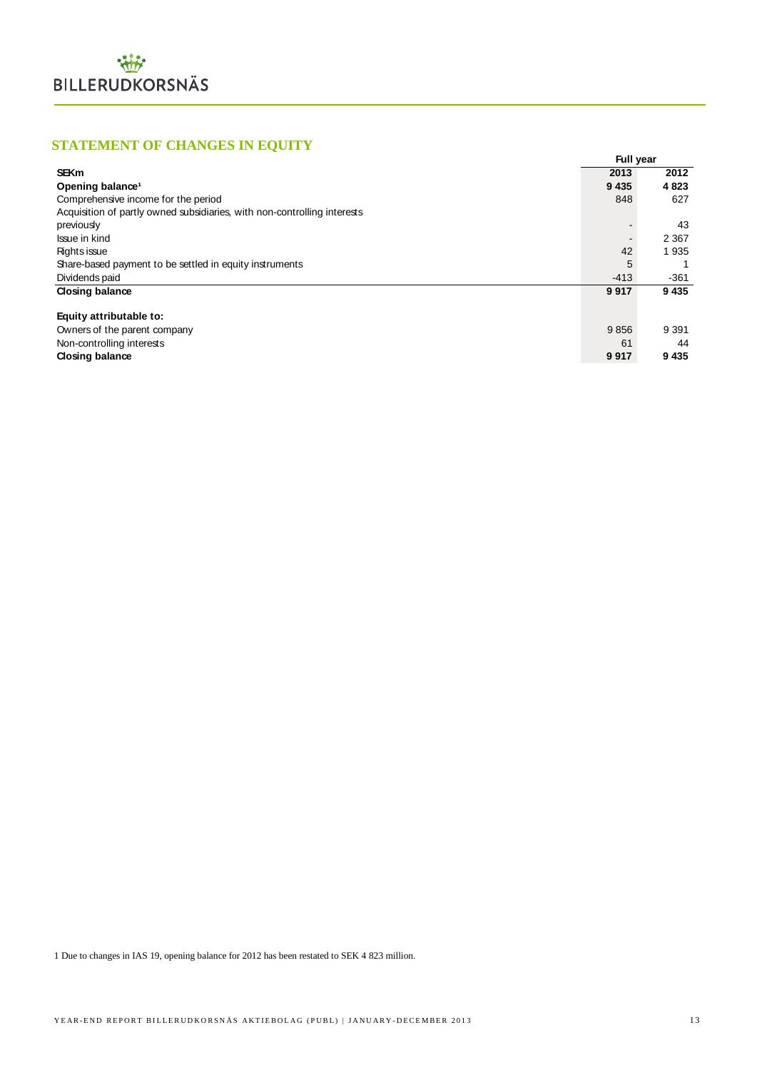# **STATEMENT OF CHANGES IN EQUITY**

| <b>STATEMENT OF CHANGES IN EQUITY</b>                                    |                  |         |
|--------------------------------------------------------------------------|------------------|---------|
|                                                                          | <b>Full year</b> |         |
| <b>SEKm</b>                                                              | 2013             | 2012    |
| Opening balance <sup>1</sup>                                             | 9 4 3 5          | 4823    |
| Comprehensive income for the period                                      | 848              | 627     |
| Acquisition of partly owned subsidiaries, with non-controlling interests |                  |         |
| previously                                                               |                  | 43      |
| Issue in kind                                                            |                  | 2 3 6 7 |
| Rights issue                                                             | 42               | 1935    |
| Share-based payment to be settled in equity instruments                  | 5                |         |
| Dividends paid                                                           | $-413$           | $-361$  |
| <b>Closing balance</b>                                                   | 9917             | 9435    |
|                                                                          |                  |         |
| Equity attributable to:                                                  |                  |         |
| Owners of the parent company                                             | 9856             | 9 3 9 1 |
| Non-controlling interests                                                | 61               | 44      |
| <b>Closing balance</b>                                                   | 9917             | 9435    |

1 Due to changes in IAS 19, opening balance for 2012 has been restated to SEK 4 823 million.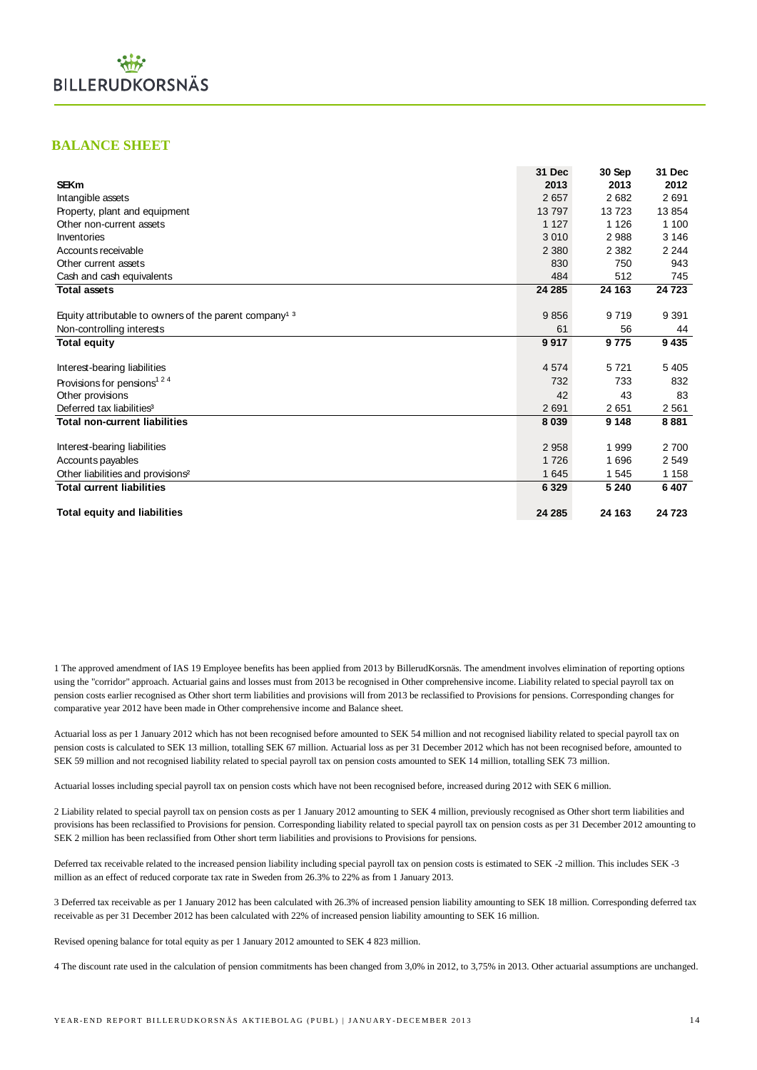# **BALANCE SHEET**

|                                                                   | 31 Dec  | 30 Sep  | 31 Dec  |
|-------------------------------------------------------------------|---------|---------|---------|
| <b>SEKm</b>                                                       | 2013    | 2013    | 2012    |
| Intangible assets                                                 | 2657    | 2682    | 2691    |
| Property, plant and equipment                                     | 13797   | 13723   | 13854   |
| Other non-current assets                                          | 1 1 2 7 | 1 1 2 6 | 1 100   |
| Inventories                                                       | 3010    | 2988    | 3 1 4 6 |
| Accounts receivable                                               | 2 3 8 0 | 2 3 8 2 | 2 2 4 4 |
| Other current assets                                              | 830     | 750     | 943     |
| Cash and cash equivalents                                         | 484     | 512     | 745     |
| <b>Total assets</b>                                               | 24 285  | 24 163  | 24 7 23 |
|                                                                   |         |         |         |
| Equity attributable to owners of the parent company <sup>13</sup> | 9856    | 9719    | 9 3 9 1 |
| Non-controlling interests                                         | 61      | 56      | 44      |
| <b>Total equity</b>                                               | 9917    | 9775    | 9435    |
| Interest-bearing liabilities                                      | 4574    | 5721    | 5 4 0 5 |
| Provisions for pensions <sup>124</sup>                            | 732     | 733     | 832     |
| Other provisions                                                  | 42      | 43      | 83      |
| Deferred tax liabilities <sup>3</sup>                             | 2691    | 2651    | 2561    |
| <b>Total non-current liabilities</b>                              | 8 0 3 9 | 9 1 4 8 | 8881    |
| Interest-bearing liabilities                                      | 2958    | 1999    | 2700    |
| Accounts payables                                                 | 1726    | 1696    | 2549    |
| Other liabilities and provisions <sup>2</sup>                     | 1645    | 1 5 4 5 | 1 1 5 8 |
| <b>Total current liabilities</b>                                  | 6 3 2 9 | 5 2 4 0 | 6 4 0 7 |
| <b>Total equity and liabilities</b>                               | 24 285  | 24 163  | 24 7 23 |

1 The approved amendment of IAS 19 Employee benefits has been applied from 2013 by BillerudKorsnäs. The amendment involves elimination of reporting options using the "corridor" approach. Actuarial gains and losses must from 2013 be recognised in Other comprehensive income. Liability related to special payroll tax on pension costs earlier recognised as Other short term liabilities and provisions will from 2013 be reclassified to Provisions for pensions. Corresponding changes for comparative year 2012 have been made in Other comprehensive income and Balance sheet.

Actuarial loss as per 1 January 2012 which has not been recognised before amounted to SEK 54 million and not recognised liability related to special payroll tax on pension costs is calculated to SEK 13 million, totalling SEK 67 million. Actuarial loss as per 31 December 2012 which has not been recognised before, amounted to SEK 59 million and not recognised liability related to special payroll tax on pension costs amounted to SEK 14 million, totalling SEK 73 million.

Actuarial losses including special payroll tax on pension costs which have not been recognised before, increased during 2012 with SEK 6 million.

2 Liability related to special payroll tax on pension costs as per 1 January 2012 amounting to SEK 4 million, previously recognised as Other short term liabilities and provisions has been reclassified to Provisions for pension. Corresponding liability related to special payroll tax on pension costs as per 31 December 2012 amounting to SEK 2 million has been reclassified from Other short term liabilities and provisions to Provisions for pensions.

Deferred tax receivable related to the increased pension liability including special payroll tax on pension costs is estimated to SEK -2 million. This includes SEK -3 million as an effect of reduced corporate tax rate in Sweden from 26.3% to 22% as from 1 January 2013.

3 Deferred tax receivable as per 1 January 2012 has been calculated with 26.3% of increased pension liability amounting to SEK 18 million. Corresponding deferred tax receivable as per 31 December 2012 has been calculated with 22% of increased pension liability amounting to SEK 16 million.

Revised opening balance for total equity as per 1 January 2012 amounted to SEK 4 823 million.

4 The discount rate used in the calculation of pension commitments has been changed from 3,0% in 2012, to 3,75% in 2013. Other actuarial assumptions are unchanged.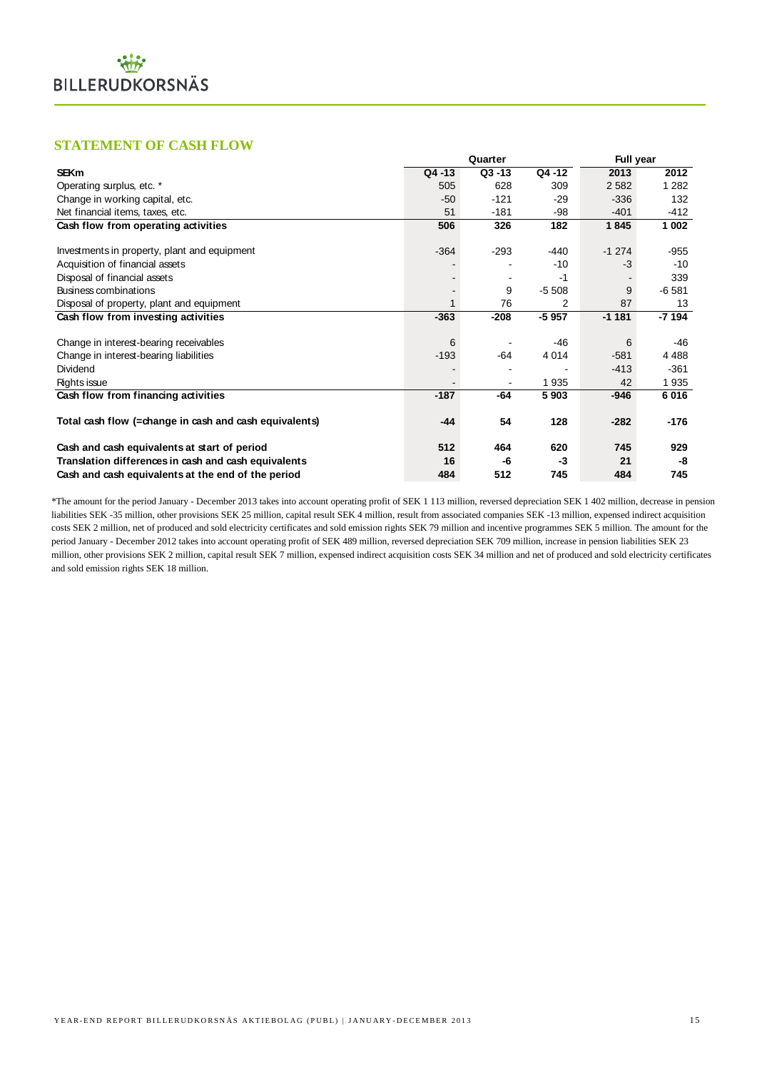# **STATEMENT OF CASH FLOW**

| <b>STATEMENT OF CASH FLOW</b>                          |        |           |         |           |         |
|--------------------------------------------------------|--------|-----------|---------|-----------|---------|
|                                                        |        | Quarter   |         | Full year |         |
| <b>SEKm</b>                                            | Q4-13  | $Q3 - 13$ | Q4 -12  | 2013      | 2012    |
| Operating surplus, etc. *                              | 505    | 628       | 309     | 2 5 8 2   | 1 2 8 2 |
| Change in working capital, etc.                        | $-50$  | $-121$    | $-29$   | $-336$    | 132     |
| Net financial items, taxes, etc.                       | 51     | $-181$    | -98     | $-401$    | $-412$  |
| Cash flow from operating activities                    | 506    | 326       | 182     | 1845      | 1 0 0 2 |
| Investments in property, plant and equipment           | $-364$ | $-293$    | -440    | $-1274$   | $-955$  |
| Acquisition of financial assets                        |        |           | $-10$   | $-3$      | $-10$   |
| Disposal of financial assets                           |        |           | -1      |           | 339     |
| Business combinations                                  |        | 9         | $-5508$ | 9         | $-6581$ |
| Disposal of property, plant and equipment              | 1      | 76        | 2       | 87        | 13      |
| Cash flow from investing activities                    | $-363$ | $-208$    | $-5957$ | $-1181$   | $-7194$ |
| Change in interest-bearing receivables                 | 6      |           | $-46$   | 6         | -46     |
| Change in interest-bearing liabilities                 | $-193$ | $-64$     | 4 0 1 4 | $-581$    | 4 4 8 8 |
| Dividend                                               |        |           |         | $-413$    | $-361$  |
| Rights issue                                           |        |           | 1935    | 42        | 1935    |
| Cash flow from financing activities                    | $-187$ | -64       | 5903    | $-946$    | 6016    |
| Total cash flow (=change in cash and cash equivalents) | $-44$  | 54        | 128     | $-282$    | -176    |
| Cash and cash equivalents at start of period           | 512    | 464       | 620     | 745       | 929     |
| Translation differences in cash and cash equivalents   | 16     | -6        | -3      | 21        | -8      |
| Cash and cash equivalents at the end of the period     | 484    | 512       | 745     | 484       | 745     |

\*The amount for the period January - December 2013 takes into account operating profit of SEK 1 113 million, reversed depreciation SEK 1 402 million, decrease in pension liabilities SEK -35 million, other provisions SEK 25 million, capital result SEK 4 million, result from associated companies SEK -13 million, expensed indirect acquisition costs SEK 2 million, net of produced and sold electricity certificates and sold emission rights SEK 79 million and incentive programmes SEK 5 million. The amount for the period January - December 2012 takes into account operating profit of SEK 489 million, reversed depreciation SEK 709 million, increase in pension liabilities SEK 23 million, other provisions SEK 2 million, capital result SEK 7 million, expensed indirect acquisition costs SEK 34 million and net of produced and sold electricity certificates and sold emission rights SEK 18 million.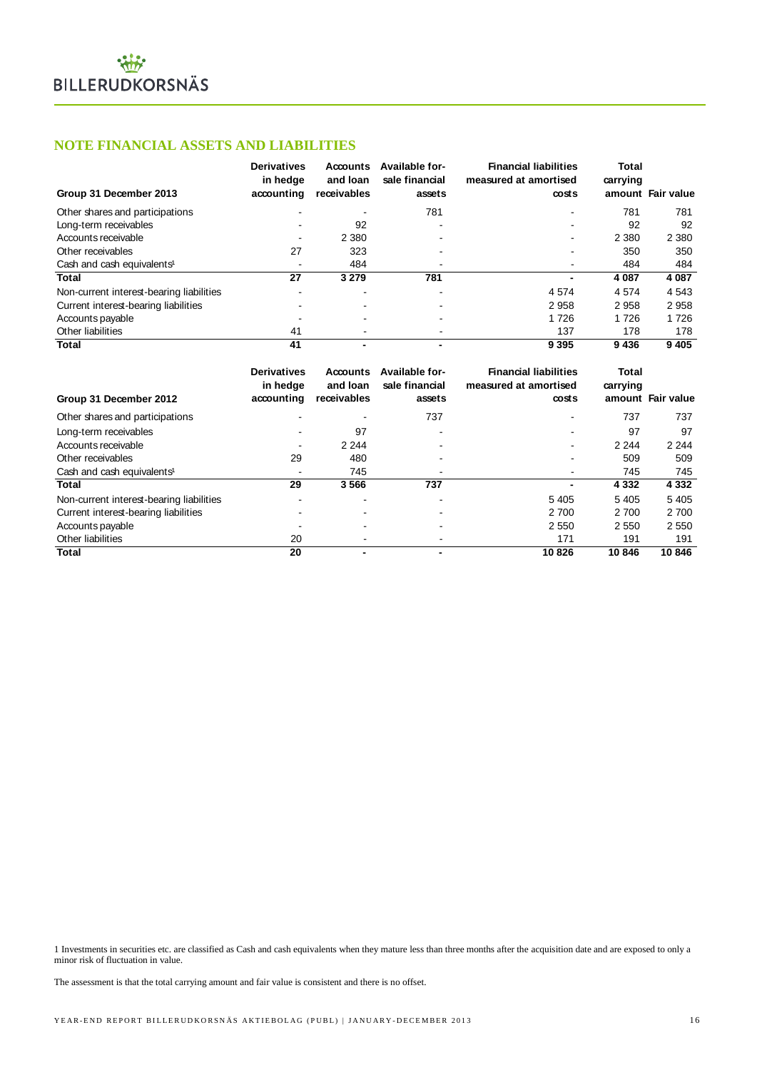# **NOTE FINANCIAL ASSETS AND LIABILITIES**

| Group 31 December 2013                   | <b>Derivatives</b><br>in hedge<br>accounting | Accounts<br>and loan<br>receivables | Available for-<br>sale financial<br>assets | <b>Financial liabilities</b><br>measured at amortised<br>costs | Total<br>carrying | amount Fair value |
|------------------------------------------|----------------------------------------------|-------------------------------------|--------------------------------------------|----------------------------------------------------------------|-------------------|-------------------|
| Other shares and participations          | $\overline{\phantom{a}}$                     |                                     | 781                                        | ۰                                                              | 781               | 781               |
| Long-term receivables                    |                                              | 92                                  |                                            | -                                                              | 92                | 92                |
| Accounts receivable                      | ۰                                            | 2 3 8 0                             |                                            | ۰                                                              | 2 3 8 0           | 2 3 8 0           |
| Other receivables                        | 27                                           | 323                                 |                                            | ۰                                                              | 350               | 350               |
| Cash and cash equivalents <sup>1</sup>   | $\overline{\phantom{a}}$                     | 484                                 |                                            | $\sim$                                                         | 484               | 484               |
| <b>Total</b>                             | 27                                           | 3 2 7 9                             | 781                                        | ٠                                                              | 4 0 8 7           | 4 0 8 7           |
| Non-current interest-bearing liabilities | ۰                                            | $\overline{\phantom{0}}$            |                                            | 4 5 7 4                                                        | 4 5 7 4           | 4 5 4 3           |
| Current interest-bearing liabilities     |                                              |                                     |                                            | 2958                                                           | 2958              | 2958              |
| Accounts payable                         |                                              |                                     |                                            | 1726                                                           | 1726              | 1726              |
| Other liabilities                        | 41                                           |                                     |                                            | 137                                                            | 178               | 178               |
| <b>Total</b>                             | 41                                           |                                     | $\blacksquare$                             | 9 3 9 5                                                        | 9436              | 9 4 0 5           |

| Group 31 December 2013                                                                                                                                                                                           | accounting               | receivables              | assets                   | costs                        |              | amount Fair value |
|------------------------------------------------------------------------------------------------------------------------------------------------------------------------------------------------------------------|--------------------------|--------------------------|--------------------------|------------------------------|--------------|-------------------|
| Other shares and participations                                                                                                                                                                                  |                          |                          | 781                      |                              | 781          | 781               |
| Long-term receivables                                                                                                                                                                                            |                          | 92                       |                          |                              | 92           | 92                |
| Accounts receivable                                                                                                                                                                                              | $\overline{a}$           | 2 3 8 0                  |                          | ۰                            | 2 3 8 0      | 2 3 8 0           |
| Other receivables                                                                                                                                                                                                | 27                       | 323                      |                          |                              | 350          | 350               |
| Cash and cash equivalents <sup>1</sup>                                                                                                                                                                           |                          | 484                      |                          |                              | 484          | 484               |
| <b>Total</b>                                                                                                                                                                                                     | $\overline{27}$          | 3 2 7 9                  | 781                      | $\blacksquare$               | 4 0 8 7      | 4 0 8 7           |
| Non-current interest-bearing liabilities                                                                                                                                                                         |                          |                          |                          | 4574                         | 4574         | 4543              |
| Current interest-bearing liabilities                                                                                                                                                                             |                          |                          |                          | 2 9 5 8                      | 2958         | 2958              |
| Accounts payable                                                                                                                                                                                                 |                          |                          |                          | 1726                         | 1726         | 1726              |
| Other liabilities                                                                                                                                                                                                | 41                       | $\overline{\phantom{a}}$ | $\overline{\phantom{a}}$ | 137                          | 178          | 178               |
| <b>Total</b>                                                                                                                                                                                                     | 41                       | $\blacksquare$           |                          | 9 3 9 5                      | 9 4 3 6      | 9405              |
|                                                                                                                                                                                                                  |                          |                          |                          |                              |              |                   |
|                                                                                                                                                                                                                  | <b>Derivatives</b>       | Accounts                 | Available for-           | <b>Financial liabilities</b> | <b>Total</b> |                   |
|                                                                                                                                                                                                                  | in hedge                 | and loan                 | sale financial           | measured at amortised        | carrying     |                   |
| Group 31 December 2012                                                                                                                                                                                           | accounting               | receivables              | assets                   | costs                        |              | amount Fair value |
|                                                                                                                                                                                                                  |                          |                          |                          |                              |              |                   |
| Other shares and participations                                                                                                                                                                                  |                          |                          | 737                      |                              | 737          | 737               |
| Long-term receivables                                                                                                                                                                                            | $\overline{a}$           | 97                       |                          |                              | 97           | 97                |
| Accounts receivable                                                                                                                                                                                              | $\overline{\phantom{a}}$ | 2 2 4 4                  |                          |                              | 2 2 4 4      | 2 2 4 4           |
| Other receivables                                                                                                                                                                                                | 29                       | 480                      |                          |                              | 509          | 509               |
| Cash and cash equivalents <sup>1</sup>                                                                                                                                                                           | $\overline{\phantom{a}}$ | 745                      |                          | $\blacksquare$               | 745          | 745               |
| <b>Total</b>                                                                                                                                                                                                     | 29                       | 3566                     | 737                      | $\blacksquare$               | 4 3 3 2      | 4 3 3 2           |
| Non-current interest-bearing liabilities                                                                                                                                                                         | $\overline{\phantom{a}}$ | $\overline{a}$           |                          | 5 4 0 5                      | 5 4 0 5      | 5 4 0 5           |
| Current interest-bearing liabilities                                                                                                                                                                             | $\overline{\phantom{a}}$ |                          |                          | 2700                         | 2700         | 2700              |
| Accounts payable                                                                                                                                                                                                 | $\overline{\phantom{a}}$ |                          |                          | 2 5 5 0                      | 2 5 5 0      | 2 5 5 0           |
| Other liabilities                                                                                                                                                                                                | 20                       |                          |                          | 171                          | 191          | 191               |
| <b>Total</b>                                                                                                                                                                                                     | 20                       | $\blacksquare$           |                          | 10 8 26                      | 10846        | 10846             |
|                                                                                                                                                                                                                  |                          |                          |                          |                              |              |                   |
|                                                                                                                                                                                                                  |                          |                          |                          |                              |              |                   |
|                                                                                                                                                                                                                  |                          |                          |                          |                              |              |                   |
| 1 Investments in securities etc. are classified as Cash and cash equivalents when they mature less than three months after the acquisition date and are exposed to only a<br>minor risk of fluctuation in value. |                          |                          |                          |                              |              |                   |
| The assessment is that the total carrying amount and fair value is consistent and there is no offset.                                                                                                            |                          |                          |                          |                              |              |                   |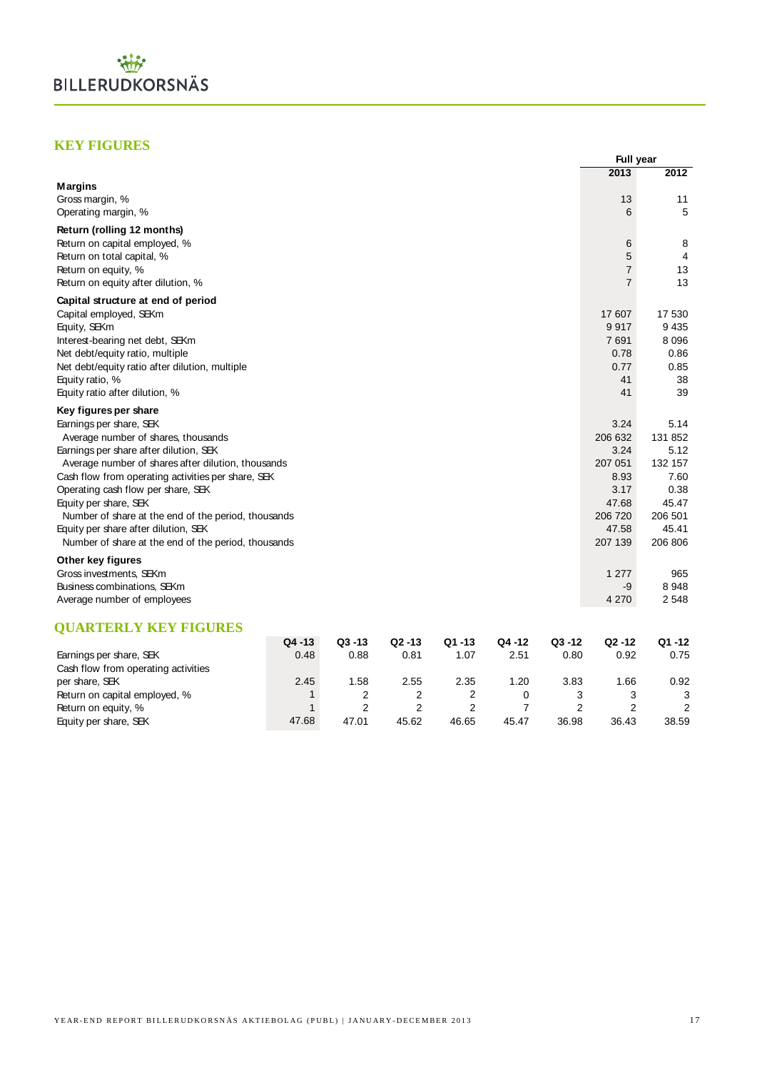

# **KEY FIGURES**

|                                                     |              |           |           |        |        |           | Full year      |         |
|-----------------------------------------------------|--------------|-----------|-----------|--------|--------|-----------|----------------|---------|
|                                                     |              |           |           |        |        |           | 2013           | 2012    |
| <b>Margins</b>                                      |              |           |           |        |        |           |                |         |
| Gross margin, %                                     |              |           |           |        |        |           | 13             | 11      |
| Operating margin, %                                 |              |           |           |        |        |           | 6              | 5       |
| Return (rolling 12 months)                          |              |           |           |        |        |           |                |         |
| Return on capital employed, %                       |              |           |           |        |        |           | 6              | 8       |
| Return on total capital, %                          |              |           |           |        |        |           | 5              | 4       |
| Return on equity, %                                 |              |           |           |        |        |           | $\overline{7}$ | 13      |
| Return on equity after dilution, %                  |              |           |           |        |        |           | $\overline{7}$ | 13      |
| Capital structure at end of period                  |              |           |           |        |        |           |                |         |
| Capital employed, SEKm                              |              |           |           |        |        |           | 17 607         | 17 530  |
| Equity, SEKm                                        |              |           |           |        |        |           | 9917           | 9 4 3 5 |
| Interest-bearing net debt, SEKm                     |              |           |           |        |        |           | 7 691          | 8 0 9 6 |
| Net debt/equity ratio, multiple                     |              |           |           |        |        |           | 0.78           | 0.86    |
| Net debt/equity ratio after dilution, multiple      |              |           |           |        |        |           | 0.77           | 0.85    |
| Equity ratio, %                                     |              |           |           |        |        |           | 41             | 38      |
| Equity ratio after dilution, %                      |              |           |           |        |        |           | 41             | 39      |
| Key figures per share                               |              |           |           |        |        |           |                |         |
| Earnings per share, SEK                             |              |           |           |        |        |           | 3.24           | 5.14    |
| Average number of shares, thousands                 |              |           |           |        |        |           | 206 632        | 131 852 |
| Earnings per share after dilution, SEK              |              |           |           |        |        |           | 3.24           | 5.12    |
| Average number of shares after dilution, thousands  |              |           |           |        |        |           | 207 051        | 132 157 |
| Cash flow from operating activities per share, SEK  |              |           |           |        |        |           | 8.93           | 7.60    |
| Operating cash flow per share, SEK                  |              |           |           |        |        |           | 3.17           | 0.38    |
| Equity per share, SEK                               |              |           |           |        |        |           | 47.68          | 45.47   |
| Number of share at the end of the period, thousands |              |           |           |        |        |           | 206 720        | 206 501 |
| Equity per share after dilution, SEK                |              |           |           |        |        |           | 47.58          | 45.41   |
| Number of share at the end of the period, thousands |              |           |           |        |        |           | 207 139        | 206 806 |
| Other key figures                                   |              |           |           |        |        |           |                |         |
| Gross investments, SEKm                             |              |           |           |        |        |           | 1 277          | 965     |
| Business combinations, SEKm                         |              |           |           |        |        |           | -9             | 8948    |
| Average number of employees                         |              |           |           |        |        |           | 4 270          | 2 5 4 8 |
|                                                     |              |           |           |        |        |           |                |         |
| <b>QUARTERLY KEY FIGURES</b>                        |              |           |           |        |        |           |                |         |
|                                                     | Q4 -13       | $Q3 - 13$ | $Q2 - 13$ | Q1 -13 | Q4 -12 | $Q3 - 12$ | $Q2 - 12$      | Q1-12   |
| Earnings per share, SEK                             | 0.48         | 0.88      | 0.81      | 1.07   | 2.51   | 0.80      | 0.92           | 0.75    |
| Cash flow from operating activities                 |              |           |           |        |        |           |                |         |
| per share, SEK                                      | 2.45         | 1.58      | 2.55      | 2.35   | 1.20   | 3.83      | 1.66           | 0.92    |
| Return on capital employed, %                       | $\mathbf{1}$ | 2         | 2         | 2      | 0      | 3         | 3              | 3       |

Return on equity, % 1 2 2 2 7 2 2 2 Equity per share, SEK 47.68 47.01 45.62 46.65 45.47 36.98 36.43 38.59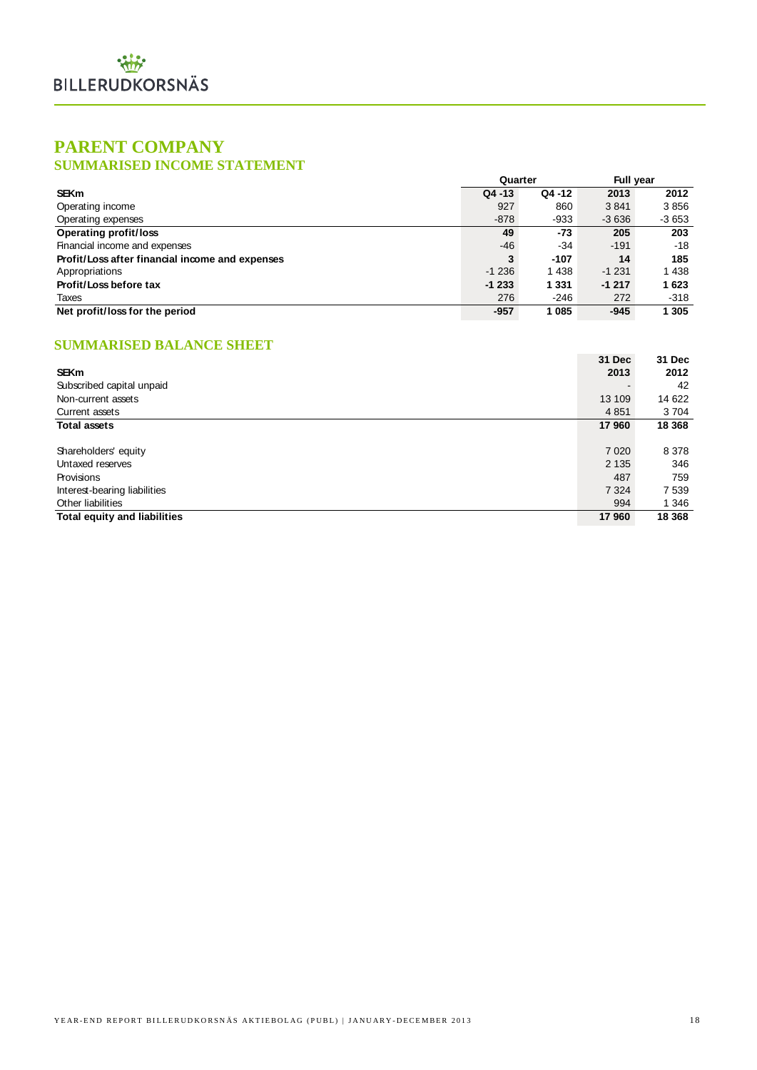# **PARENT COMPANY**

# **SUMMARISED INCOME STATEMENT**

|                                                 | Quarter   |         | <b>Full year</b> |         |
|-------------------------------------------------|-----------|---------|------------------|---------|
| <b>SEKm</b>                                     | $Q4 - 13$ | Q4 -12  | 2013             | 2012    |
| Operating income                                | 927       | 860     | 3841             | 3856    |
| Operating expenses                              | $-878$    | $-933$  | $-3636$          | $-3653$ |
| <b>Operating profit/loss</b>                    | 49        | -73     | 205              | 203     |
| Financial income and expenses                   | -46       | -34     | $-191$           | -18     |
| Profit/Loss after financial income and expenses | 3         | $-107$  | 14               | 185     |
| Appropriations                                  | $-1236$   | 1438    | $-1231$          | 1438    |
| Profit/Loss before tax                          | $-1233$   | 1 3 3 1 | $-1217$          | 1623    |
| Taxes                                           | 276       | $-246$  | 272              | $-318$  |
| Net profit/loss for the period                  | -957      | 1 0 8 5 | $-945$           | 1 3 0 5 |

# **SUMMARISED BALANCE SHEET**

|                                     | 31 Dec  | <b>31 Dec</b> |
|-------------------------------------|---------|---------------|
| <b>SEKm</b>                         | 2013    | 2012          |
| Subscribed capital unpaid           |         | 42            |
| Non-current assets                  | 13 109  | 14 622        |
| Current assets                      | 4851    | 3 7 0 4       |
| <b>Total assets</b>                 | 17960   | 18 3 68       |
|                                     |         |               |
| Shareholders' equity                | 7 0 20  | 8 3 7 8       |
| Untaxed reserves                    | 2 1 3 5 | 346           |
| Provisions                          | 487     | 759           |
| Interest-bearing liabilities        | 7 3 2 4 | 7 5 3 9       |
| Other liabilities                   | 994     | 1 3 4 6       |
| <b>Total equity and liabilities</b> | 17960   | 18 3 68       |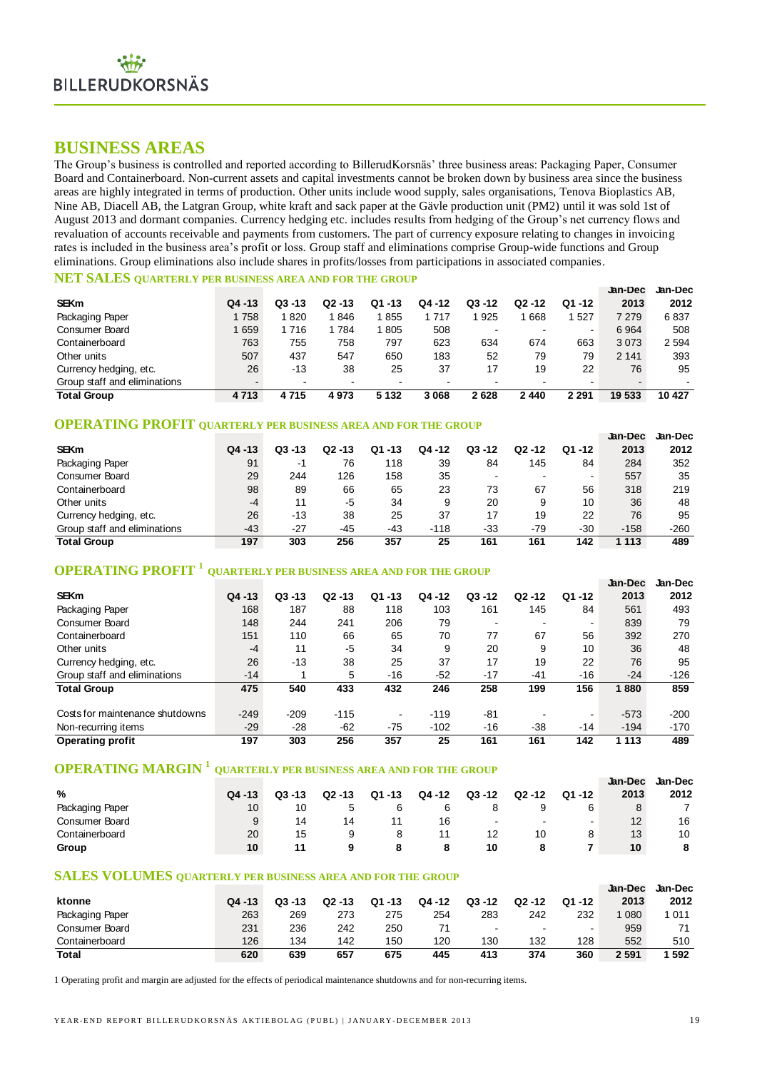# **BUSINESS AREAS**

The Group's business is controlled and reported according to BillerudKorsnäs' three business areas: Packaging Paper, Consumer Board and Containerboard. Non-current assets and capital investments cannot be broken down by business area since the business areas are highly integrated in terms of production. Other units include wood supply, sales organisations, Tenova Bioplastics AB, Nine AB, Diacell AB, the Latgran Group, white kraft and sack paper at the Gävle production unit (PM2) until it was sold 1st of August 2013 and dormant companies. Currency hedging etc. includes results from hedging of the Group's net currency flows and revaluation of accounts receivable and payments from customers. The part of currency exposure relating to changes in invoicing rates is included in the business area's profit or loss. Group staff and eliminations comprise Group-wide functions and Group eliminations. Group eliminations also include shares in profits/losses from participations in associated companies.

# **NET SALES QUARTERLY PER BUSINESS AREA AND FOR THE GROUP**

|                              |           |                          |           |                          |         |           |        |                | Jan-Dec | <b>Jan-Dec</b> |
|------------------------------|-----------|--------------------------|-----------|--------------------------|---------|-----------|--------|----------------|---------|----------------|
| <b>SEKm</b>                  | $Q4 - 13$ | $Q3 - 13$                | $Q2 - 13$ | Q1 -13                   | Q4 -12  | $Q3 - 12$ | Q2 -12 | Q1 -12         | 2013    | 2012           |
| Packaging Paper              | 1758      | 820                      | 846       | 855                      | 1717    | 925       | 668    | 527            | 7 2 7 9 | 6837           |
| Consumer Board               | 1659      | 1716                     | 784       | 1805                     | 508     |           |        | $\blacksquare$ | 6964    | 508            |
| Containerboard               | 763       | 755                      | 758       | 797                      | 623     | 634       | 674    | 663            | 3073    | 2 5 9 4        |
| Other units                  | 507       | 437                      | 547       | 650                      | 183     | 52        | 79     | 79             | 2 1 4 1 | 393            |
| Currency hedging, etc.       | 26        | $-13$                    | 38        | 25                       | 37      | 17        | 19     | 22             | 76      | 95             |
| Group staff and eliminations |           | $\overline{\phantom{0}}$ |           | $\overline{\phantom{0}}$ |         |           |        |                |         |                |
| <b>Total Group</b>           | 4713      | 4715                     | 4973      | 5 1 3 2                  | 3 0 6 8 | 2628      | 2440   | 2 2 9 1        | 19 533  | 10 427         |

# **OPERATING PROFIT QUARTERLY PER BUSINESS AREA AND FOR THE GROUP**

|                              |           |           |           |             |        |           |           |           | Jan-Dec | Jan-Dec |
|------------------------------|-----------|-----------|-----------|-------------|--------|-----------|-----------|-----------|---------|---------|
| <b>SEKm</b>                  | $Q4 - 13$ | $Q3 - 13$ | $Q2 - 13$ | $-13$<br>Q1 | Q4 -12 | $Q3 - 12$ | $Q2 - 12$ | $Q1 - 12$ | 2013    | 2012    |
| Packaging Paper              | 91        | -1        | 76        | 118         | 39     | 84        | 145       | 84        | 284     | 352     |
| <b>Consumer Board</b>        | 29        | 244       | 126       | 158         | 35     |           |           |           | 557     | 35      |
| Containerboard               | 98        | 89        | 66        | 65          | 23     | 73        | 67        | 56        | 318     | 219     |
| Other units                  | $-4$      | 11        | -5        | 34          | 9      | 20        | 9         | 10        | 36      | 48      |
| Currency hedging, etc.       | 26        | $-13$     | 38        | 25          | 37     | 17        | 19        | 22        | 76      | 95      |
| Group staff and eliminations | $-43$     | $-27$     | -45       | -43         | $-118$ | -33       | -79       | $-30$     | $-158$  | $-260$  |
| <b>Total Group</b>           | 197       | 303       | 256       | 357         | 25     | 161       | 161       | 142       | 1 113   | 489     |

# **OPERATING PROFIT <sup>1</sup> QUARTERLY PER BUSINESS AREA AND FOR THE GROUP**

|                                 |           |           |           |                |        |                |           |                | <b>Jan-Dec</b> | Jan-Dec |
|---------------------------------|-----------|-----------|-----------|----------------|--------|----------------|-----------|----------------|----------------|---------|
| <b>SEKm</b>                     | $Q4 - 13$ | $Q3 - 13$ | $Q2 - 13$ | $-13$<br>Q1    | Q4 -12 | $Q3 - 12$      | $Q2 - 12$ | $Q1 - 12$      | 2013           | 2012    |
| Packaging Paper                 | 168       | 187       | 88        | 118            | 103    | 161            | 145       | 84             | 561            | 493     |
| <b>Consumer Board</b>           | 148       | 244       | 241       | 206            | 79     | $\blacksquare$ |           | $\blacksquare$ | 839            | 79      |
| Containerboard                  | 151       | 110       | 66        | 65             | 70     | 77             | 67        | 56             | 392            | 270     |
| Other units                     | $-4$      | 11        | -5        | 34             | 9      | 20             | 9         | 10             | 36             | 48      |
| Currency hedging, etc.          | 26        | $-13$     | 38        | 25             | 37     | 17             | 19        | 22             | 76             | 95      |
| Group staff and eliminations    | $-14$     |           | 5         | $-16$          | $-52$  | $-17$          | $-41$     | $-16$          | $-24$          | $-126$  |
| <b>Total Group</b>              | 475       | 540       | 433       | 432            | 246    | 258            | 199       | 156            | 1880           | 859     |
| Costs for maintenance shutdowns | $-249$    | $-209$    | $-115$    | $\blacksquare$ | $-119$ | $-81$          |           | -              | $-573$         | $-200$  |
| Non-recurring items             | $-29$     | $-28$     | $-62$     | $-75$          | $-102$ | $-16$          | $-38$     | $-14$          | $-194$         | $-170$  |
| <b>Operating profit</b>         | 197       | 303       | 256       | 357            | 25     | 161            | 161       | 142            | 1 1 1 3        | 489     |

# **OPERATING MARGIN <sup>1</sup> QUARTERLY PER BUSINESS AREA AND FOR THE GROUP**

| Operating profit                                                                  | 197       | ასა       | 250       | 331    | 25     | 101       | 101       | 142       | 1 1 1 3 | 489     |
|-----------------------------------------------------------------------------------|-----------|-----------|-----------|--------|--------|-----------|-----------|-----------|---------|---------|
| <b>OPERATING MARGIN<sup>1</sup></b> QUARTERLY PER BUSINESS AREA AND FOR THE GROUP |           |           |           |        |        |           |           |           |         |         |
|                                                                                   |           |           |           |        |        |           |           |           | Jan-Dec | Jan-Dec |
| %                                                                                 | $Q4 - 13$ | $Q3 - 13$ | $Q2 - 13$ | Q1 -13 | Q4 -12 | $Q3 - 12$ | $Q2 - 12$ | $Q1 - 12$ | 2013    | 2012    |
| Packaging Paper                                                                   | 10        | 10        |           | 6      | 6      |           |           | 6         | 8       |         |
| <b>Consumer Board</b>                                                             |           | 14        | 14        |        | 16     |           |           |           | 12      | 16      |
| Containerboard                                                                    | 20        | 15        | 9         | 8      | 11     | 12        | 10        | 8         | 13      | 10      |
| Group                                                                             | 10        | 11        | 9         | 8      |        | 10        |           |           | 10      |         |

# **SALES VOLUMES QUARTERLY PER BUSINESS AREA AND FOR THE GROUP**

|                 |           |           |           |             |        |                |                  |           | Jan-Dec | Jan-Dec |
|-----------------|-----------|-----------|-----------|-------------|--------|----------------|------------------|-----------|---------|---------|
| ktonne          | $Q4 - 13$ | $Q3 - 13$ | $Q2 - 13$ | $-13$<br>Q1 | Q4 -12 | $Q3 - 12$      | $Q2 - 12$        | $Q1 - 12$ | 2013    | 2012    |
| Packaging Paper | 263       | 269       | 273       | 275         | 254    | 283            | 242              | 232       | 080     | 1 0 1 1 |
| Consumer Board  | 231       | 236       | 242       | 250         |        | $\blacksquare$ | <b>CONTINUES</b> |           | 959     | 71      |
| Containerboard  | 126       | 134       | 142       | 150         | 120    | 130            | 132              | 128       | 552     | 510     |
| <b>Total</b>    | 620       | 639       | 657       | 675         | 445    | 413            | 374              | 360       | 2 5 9 1 | 592     |

1 Operating profit and margin are adjusted for the effects of periodical maintenance shutdowns and for non-recurring items.